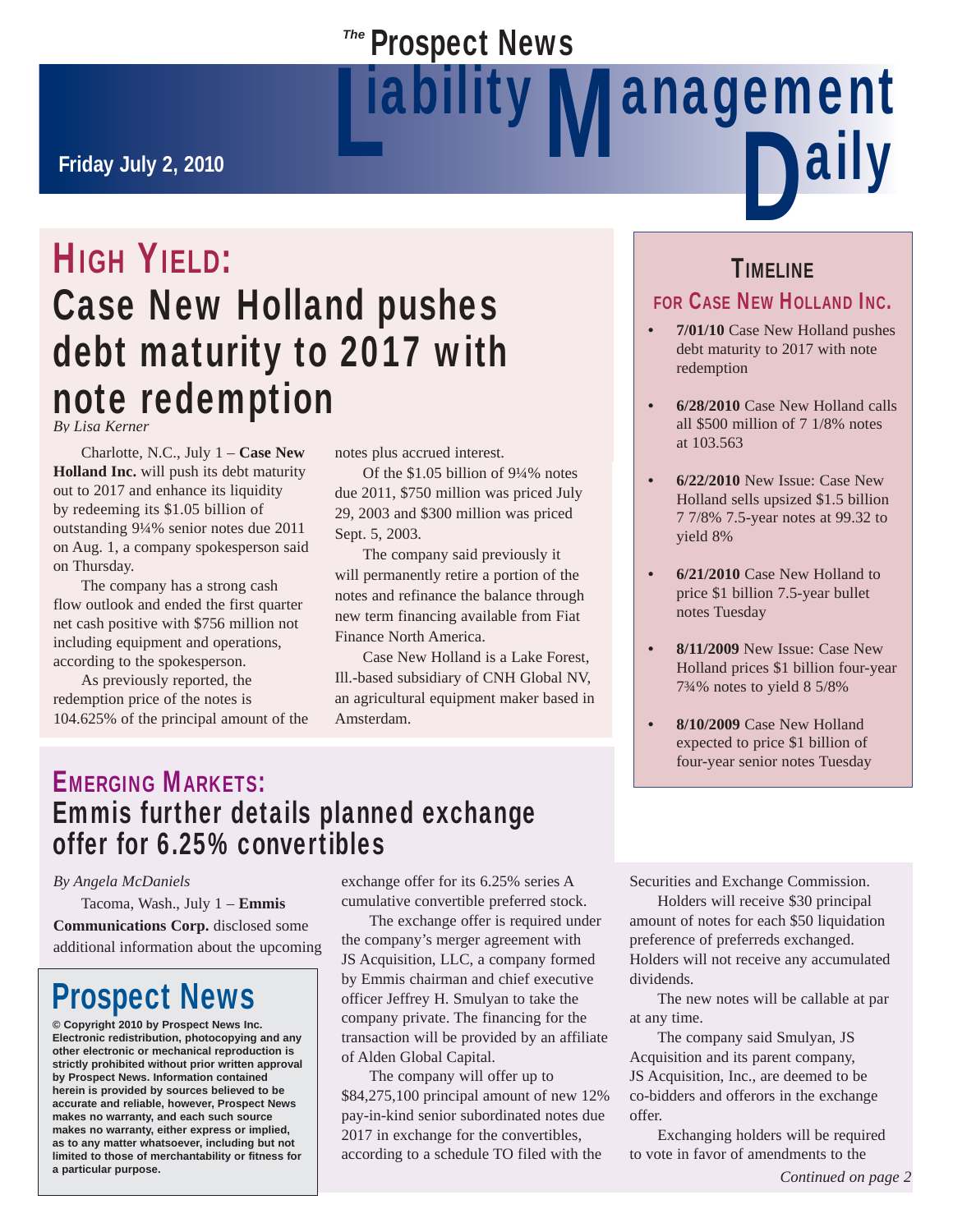# **Prospect News** Liability Mahagement<br>Daily

**Friday July 2, 2010**

# HIGH YIELD: Case New Holland pushes debt maturity to 2017 with note redemption *By Lisa Kerner*

 Charlotte, N.C., July 1 – **Case New Holland Inc.** will push its debt maturity out to 2017 and enhance its liquidity by redeeming its \$1.05 billion of outstanding 9¼% senior notes due 2011 on Aug. 1, a company spokesperson said on Thursday.

 The company has a strong cash flow outlook and ended the first quarter net cash positive with \$756 million not including equipment and operations, according to the spokesperson.

 As previously reported, the redemption price of the notes is 104.625% of the principal amount of the notes plus accrued interest.

 Of the \$1.05 billion of 9¼% notes due 2011, \$750 million was priced July 29, 2003 and \$300 million was priced Sept. 5, 2003.

 The company said previously it will permanently retire a portion of the notes and refinance the balance through new term financing available from Fiat Finance North America.

 Case New Holland is a Lake Forest, Ill.-based subsidiary of CNH Global NV, an agricultural equipment maker based in Amsterdam.

### TIMELINE

### FOR CASE NEW HOLLAND INC.

- **7/01/10** Case New Holland pushes debt maturity to 2017 with note redemption
- **6/28/2010** Case New Holland calls all \$500 million of 7 1/8% notes at 103.563
- **6/22/2010** New Issue: Case New Holland sells upsized \$1.5 billion 7 7/8% 7.5-year notes at 99.32 to yield 8%
- **21/2010 6/** Case New Holland to price \$1 billion 7.5-year bullet notes Tuesday
- **8/11/2009** New Issue: Case New Holland prices \$1 billion four-year 7¾% notes to yield 8 5/8%
- **8/10/2009** Case New Holland expected to price \$1 billion of four-year senior notes Tuesday

# EMERGING MARKETS: Emmis further details planned exchange offer for 6.25% convertibles

### *By Angela McDaniels*

 Tacoma, Wash., July 1 – **Emmis Communications Corp.** disclosed some additional information about the upcoming

# Prospect News

**© Copyright 2010 by Prospect News Inc. Electronic redistribution, photocopying and any other electronic or mechanical reproduction is strictly prohibited without prior written approval by Prospect News. Information contained herein is provided by sources believed to be accurate and reliable, however, Prospect News makes no warranty, and each such source makes no warranty, either express or implied, as to any matter whatsoever, including but not limited to those of merchantability or fitness for a particular purpose.**

exchange offer for its 6.25% series A cumulative convertible preferred stock.

 The exchange offer is required under the company's merger agreement with JS Acquisition, LLC, a company formed by Emmis chairman and chief executive officer Jeffrey H. Smulyan to take the company private. The financing for the transaction will be provided by an affiliate of Alden Global Capital.

 The company will offer up to \$84,275,100 principal amount of new 12% pay-in-kind senior subordinated notes due 2017 in exchange for the convertibles, according to a schedule TO filed with the

Securities and Exchange Commission.

 Holders will receive \$30 principal amount of notes for each \$50 liquidation preference of preferreds exchanged. Holders will not receive any accumulated dividends.

 The new notes will be callable at par at any time.

 The company said Smulyan, JS Acquisition and its parent company, JS Acquisition, Inc., are deemed to be co-bidders and offerors in the exchange offer.

 Exchanging holders will be required to vote in favor of amendments to the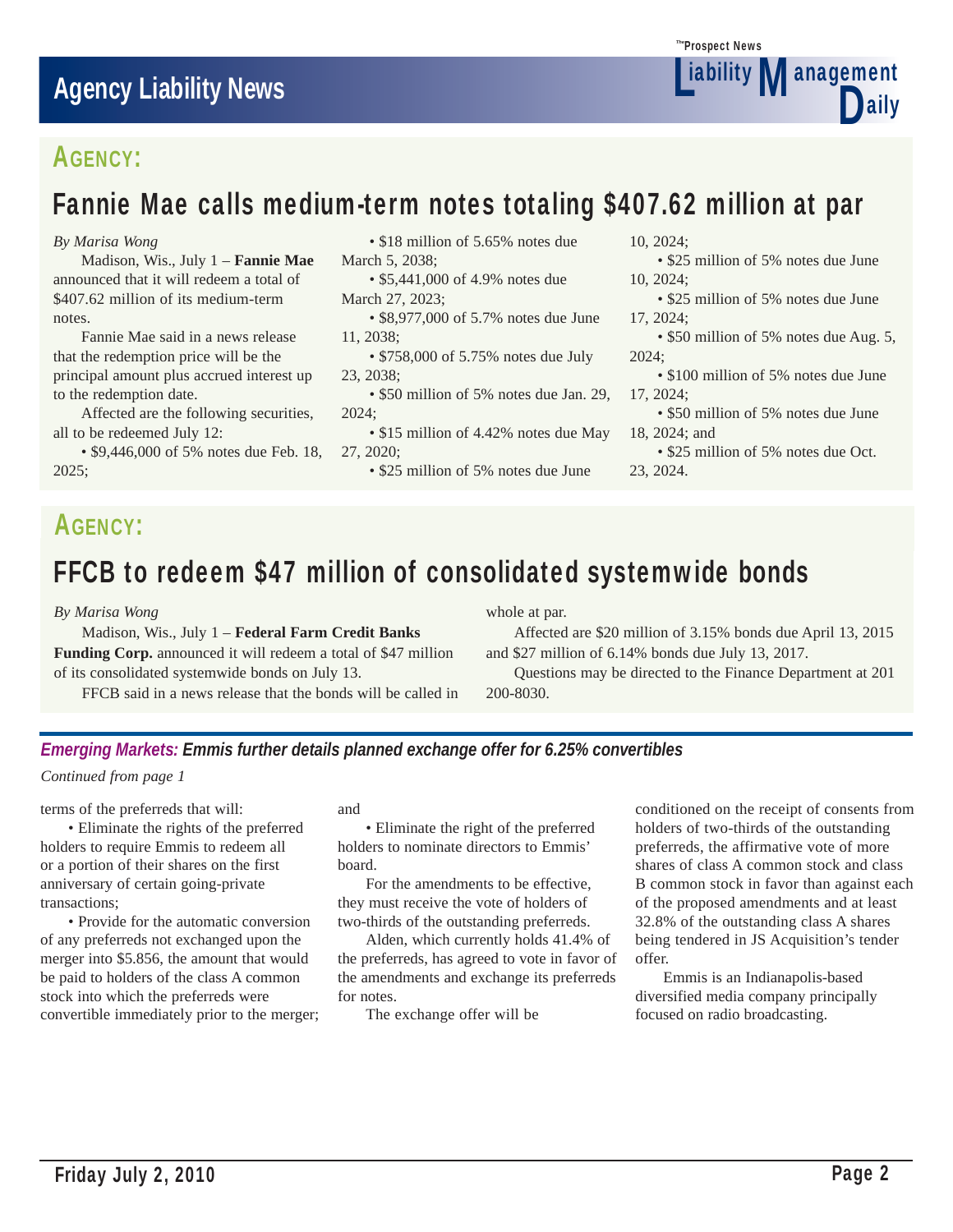

# AGENCY:

# Fannie Mae calls medium-term notes totaling \$407.62 million at par

*By Marisa Wong*

 Madison, Wis., July 1 – **Fannie Mae** announced that it will redeem a total of \$407.62 million of its medium-term notes.

 Fannie Mae said in a news release that the redemption price will be the principal amount plus accrued interest up to the redemption date.

 Affected are the following securities, all to be redeemed July 12:

 • \$9,446,000 of 5% notes due Feb. 18, 2025;

• \$18 million of 5.65% notes due March 5, 2038;

• \$5,441,000 of 4.9% notes due March 27, 2023;

- \$8,977,000 of 5.7% notes due June 11, 2038;
- \$758,000 of 5.75% notes due July 23, 2038;
- \$50 million of 5% notes due Jan. 29, 2024;
- \$15 million of 4.42% notes due May 27, 2020;
	- \$25 million of 5% notes due June

10, 2024;

 • \$25 million of 5% notes due June 10, 2024;

 • \$25 million of 5% notes due June 17, 2024;

• \$50 million of 5% notes due Aug. 5, 2024;

 • \$100 million of 5% notes due June 17, 2024;

 • \$50 million of 5% notes due June 18, 2024; and

 • \$25 million of 5% notes due Oct. 23, 2024.

# AGENCY:

# FFCB to redeem \$47 million of consolidated systemwide bonds

*By Marisa Wong*

 Madison, Wis., July 1 – **Federal Farm Credit Banks Funding Corp.** announced it will redeem a total of \$47 million of its consolidated systemwide bonds on July 13.

FFCB said in a news release that the bonds will be called in

whole at par.

 Affected are \$20 million of 3.15% bonds due April 13, 2015 and \$27 million of 6.14% bonds due July 13, 2017.

 Questions may be directed to the Finance Department at 201 200-8030.

### *Emerging Markets: Emmis further details planned exchange offer for 6.25% convertibles*

*Continued from page 1*

terms of the preferreds that will:

 • Eliminate the rights of the preferred holders to require Emmis to redeem all or a portion of their shares on the first anniversary of certain going-private transactions;

 • Provide for the automatic conversion of any preferreds not exchanged upon the merger into \$5.856, the amount that would be paid to holders of the class A common stock into which the preferreds were convertible immediately prior to the merger; and

 • Eliminate the right of the preferred holders to nominate directors to Emmis' board.

 For the amendments to be effective, they must receive the vote of holders of two-thirds of the outstanding preferreds.

 Alden, which currently holds 41.4% of the preferreds, has agreed to vote in favor of the amendments and exchange its preferreds for notes.

The exchange offer will be

conditioned on the receipt of consents from holders of two-thirds of the outstanding preferreds, the affirmative vote of more shares of class A common stock and class B common stock in favor than against each of the proposed amendments and at least 32.8% of the outstanding class A shares being tendered in JS Acquisition's tender offer.

 Emmis is an Indianapolis-based diversified media company principally focused on radio broadcasting.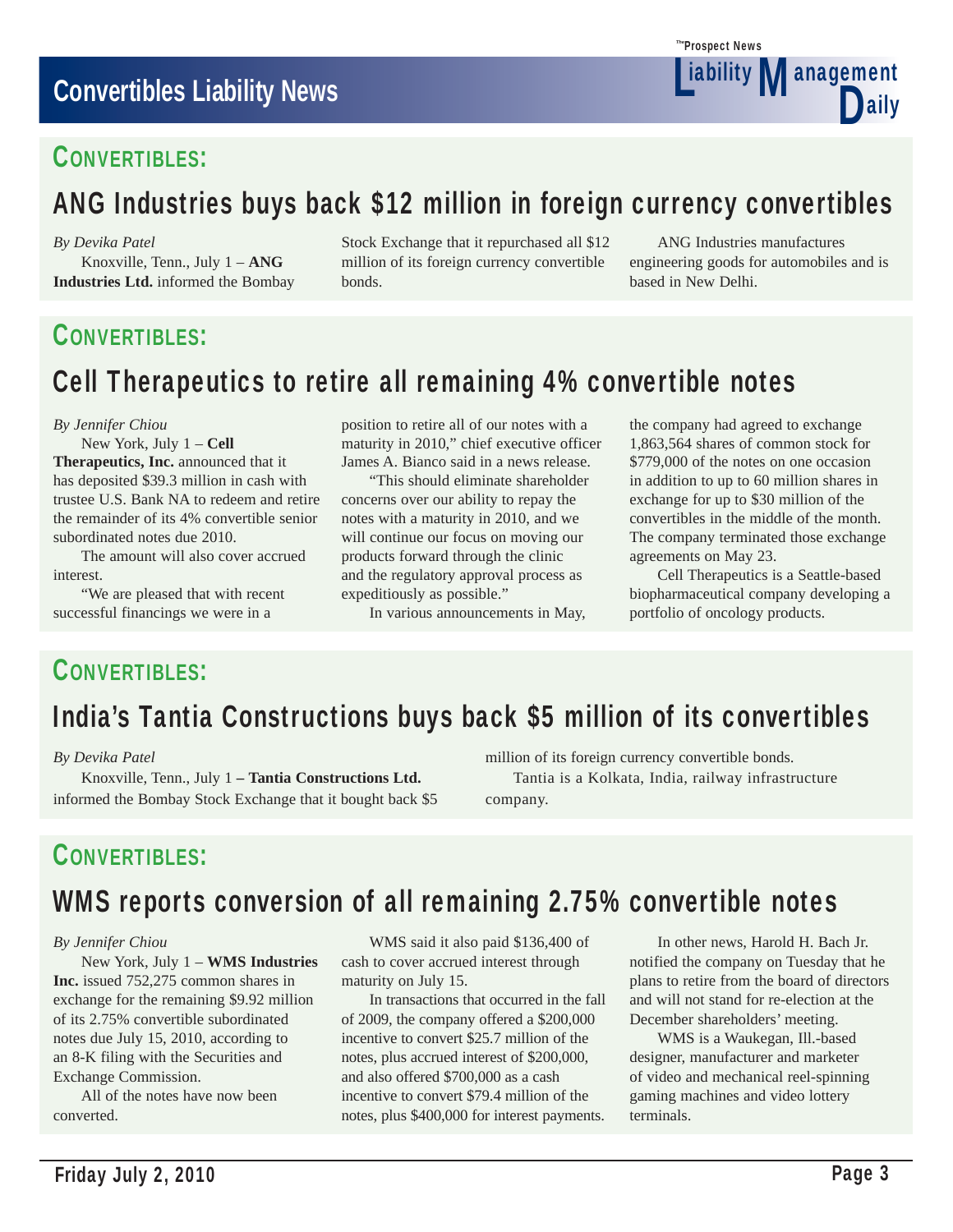# **Convertibles Liability News**

### CONVERTIBLES:

# ANG Industries buys back \$12 million in foreign currency convertibles

*By Devika Patel*

 Knoxville, Tenn., July 1 – **ANG Industries Ltd.** informed the Bombay Stock Exchange that it repurchased all \$12 million of its foreign currency convertible bonds.

 ANG Industries manufactures engineering goods for automobiles and is based in New Delhi.

# CONVERTIBLES:

# Cell Therapeutics to retire all remaining 4% convertible notes

#### *By Jennifer Chiou*

New York, July 1 – **Cell** 

**Therapeutics, Inc.** announced that it has deposited \$39.3 million in cash with trustee U.S. Bank NA to redeem and retire the remainder of its 4% convertible senior subordinated notes due 2010.

 The amount will also cover accrued interest.

 "We are pleased that with recent successful financings we were in a

position to retire all of our notes with a maturity in 2010," chief executive officer James A. Bianco said in a news release.

 "This should eliminate shareholder concerns over our ability to repay the notes with a maturity in 2010, and we will continue our focus on moving our products forward through the clinic and the regulatory approval process as expeditiously as possible."

In various announcements in May,

the company had agreed to exchange 1,863,564 shares of common stock for \$779,000 of the notes on one occasion in addition to up to 60 million shares in exchange for up to \$30 million of the convertibles in the middle of the month. The company terminated those exchange agreements on May 23.

 Cell Therapeutics is a Seattle-based biopharmaceutical company developing a portfolio of oncology products.

### CONVERTIBLES:

# India's Tantia Constructions buys back \$5 million of its convertibles

### *By Devika Patel*

 Knoxville, Tenn., July 1 **– Tantia Constructions Ltd.**  informed the Bombay Stock Exchange that it bought back \$5 million of its foreign currency convertible bonds. Tantia is a Kolkata, India, railway infrastructure company.

### CONVERTIBLES:

# WMS reports conversion of all remaining 2.75% convertible notes

### *By Jennifer Chiou*

 New York, July 1 – **WMS Industries Inc.** issued 752,275 common shares in exchange for the remaining \$9.92 million of its 2.75% convertible subordinated notes due July 15, 2010, according to an 8-K filing with the Securities and Exchange Commission.

 All of the notes have now been converted.

 WMS said it also paid \$136,400 of cash to cover accrued interest through maturity on July 15.

 In transactions that occurred in the fall of 2009, the company offered a \$200,000 incentive to convert \$25.7 million of the notes, plus accrued interest of \$200,000, and also offered \$700,000 as a cash incentive to convert \$79.4 million of the notes, plus \$400,000 for interest payments.

 In other news, Harold H. Bach Jr. notified the company on Tuesday that he plans to retire from the board of directors and will not stand for re-election at the December shareholders' meeting.

 WMS is a Waukegan, Ill.-based designer, manufacturer and marketer of video and mechanical reel-spinning gaming machines and video lottery terminals.

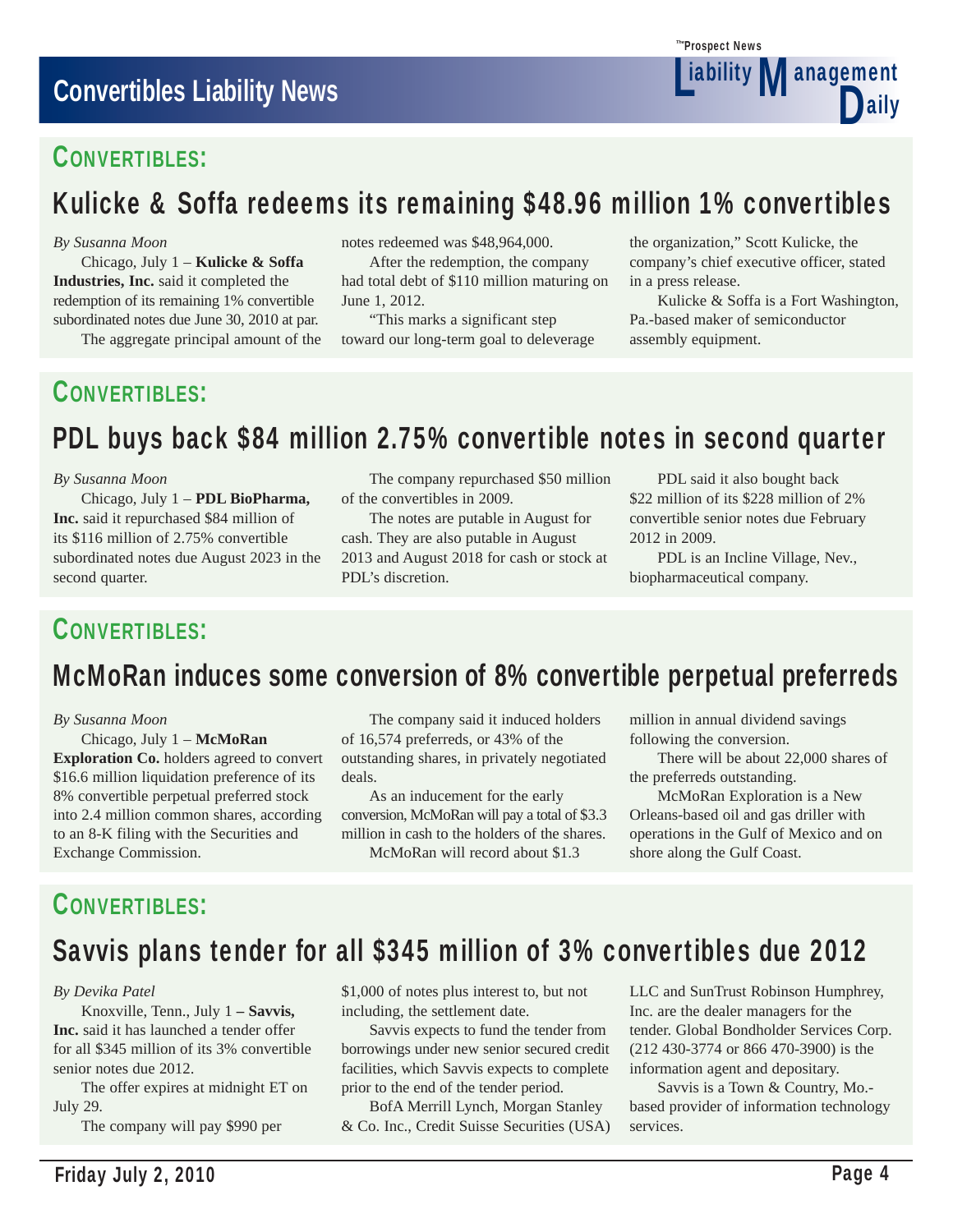### CONVERTIBLES:

# Kulicke & Soffa redeems its remaining \$48.96 million 1% convertibles

#### *By Susanna Moon*

 Chicago, July 1 – **Kulicke & Soffa Industries, Inc.** said it completed the redemption of its remaining 1% convertible subordinated notes due June 30, 2010 at par.

The aggregate principal amount of the

notes redeemed was \$48,964,000.

 After the redemption, the company had total debt of \$110 million maturing on June 1, 2012.

 "This marks a significant step toward our long-term goal to deleverage

the organization," Scott Kulicke, the company's chief executive officer, stated in a press release.

**Liability Management** 

D

Prospect News *The*

 Kulicke & Soffa is a Fort Washington, Pa.-based maker of semiconductor assembly equipment.

# CONVERTIBLES:

# PDL buys back \$84 million 2.75% convertible notes in second quarter

#### *By Susanna Moon*

 Chicago, July 1 – **PDL BioPharma, Inc.** said it repurchased \$84 million of its \$116 million of 2.75% convertible subordinated notes due August 2023 in the second quarter.

 The company repurchased \$50 million of the convertibles in 2009.

 The notes are putable in August for cash. They are also putable in August 2013 and August 2018 for cash or stock at PDL's discretion.

 PDL said it also bought back \$22 million of its \$228 million of 2% convertible senior notes due February 2012 in 2009.

 PDL is an Incline Village, Nev., biopharmaceutical company.

### CONVERTIBLES:

# McMoRan induces some conversion of 8% convertible perpetual preferreds

### *By Susanna Moon*

 Chicago, July 1 – **McMoRan Exploration Co.** holders agreed to convert \$16.6 million liquidation preference of its 8% convertible perpetual preferred stock into 2.4 million common shares, according to an 8-K filing with the Securities and Exchange Commission.

 The company said it induced holders of 16,574 preferreds, or 43% of the outstanding shares, in privately negotiated deals.

 As an inducement for the early conversion, McMoRan will pay a total of \$3.3 million in cash to the holders of the shares. McMoRan will record about \$1.3

million in annual dividend savings following the conversion.

 There will be about 22,000 shares of the preferreds outstanding.

 McMoRan Exploration is a New Orleans-based oil and gas driller with operations in the Gulf of Mexico and on shore along the Gulf Coast.

# CONVERTIBLES:

# Savvis plans tender for all \$345 million of 3% convertibles due 2012

### *By Devika Patel*

 Knoxville, Tenn., July 1 **– Savvis, Inc.** said it has launched a tender offer for all \$345 million of its 3% convertible senior notes due 2012.

 The offer expires at midnight ET on July 29.

The company will pay \$990 per

\$1,000 of notes plus interest to, but not including, the settlement date.

 Savvis expects to fund the tender from borrowings under new senior secured credit facilities, which Savvis expects to complete prior to the end of the tender period.

 BofA Merrill Lynch, Morgan Stanley & Co. Inc., Credit Suisse Securities (USA) LLC and SunTrust Robinson Humphrey, Inc. are the dealer managers for the tender. Global Bondholder Services Corp. (212 430-3774 or 866 470-3900) is the information agent and depositary.

 Savvis is a Town & Country, Mo. based provider of information technology services.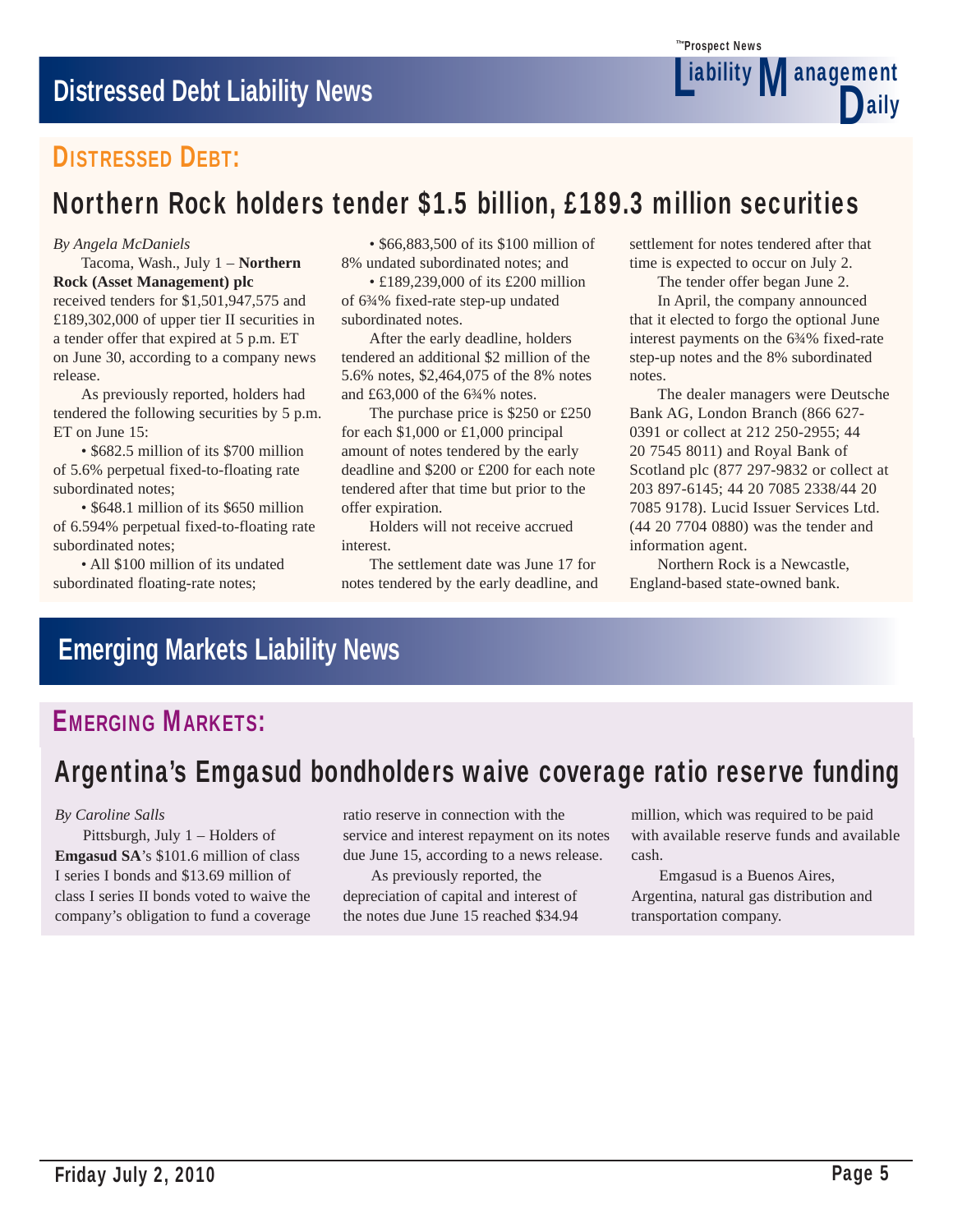

# DISTRESSED DEBT:

# Northern Rock holders tender \$1.5 billion, £189.3 million securities

### *By Angela McDaniels*

 Tacoma, Wash., July 1 – **Northern Rock (Asset Management) plc**

received tenders for \$1,501,947,575 and £189,302,000 of upper tier II securities in a tender offer that expired at 5 p.m. ET on June 30, according to a company news release.

 As previously reported, holders had tendered the following securities by 5 p.m. ET on June 15:

 • \$682.5 million of its \$700 million of 5.6% perpetual fixed-to-floating rate subordinated notes;

 • \$648.1 million of its \$650 million of 6.594% perpetual fixed-to-floating rate subordinated notes;

 • All \$100 million of its undated subordinated floating-rate notes;

 • \$66,883,500 of its \$100 million of 8% undated subordinated notes; and

 • £189,239,000 of its £200 million of 6¾% fixed-rate step-up undated subordinated notes.

 After the early deadline, holders tendered an additional \$2 million of the 5.6% notes, \$2,464,075 of the 8% notes and £63,000 of the 6¾% notes.

 The purchase price is \$250 or £250 for each \$1,000 or £1,000 principal amount of notes tendered by the early deadline and \$200 or £200 for each note tendered after that time but prior to the offer expiration.

 Holders will not receive accrued interest.

 The settlement date was June 17 for notes tendered by the early deadline, and

settlement for notes tendered after that time is expected to occur on July 2.

The tender offer began June 2.

 In April, the company announced that it elected to forgo the optional June interest payments on the 6¾% fixed-rate step-up notes and the 8% subordinated notes.

 The dealer managers were Deutsche Bank AG, London Branch (866 627- 0391 or collect at 212 250-2955; 44 20 7545 8011) and Royal Bank of Scotland plc (877 297-9832 or collect at 203 897-6145; 44 20 7085 2338/44 20 7085 9178). Lucid Issuer Services Ltd. (44 20 7704 0880) was the tender and information agent.

 Northern Rock is a Newcastle, England-based state-owned bank.

# **Emerging Markets Liability News**

# EMERGING MARKETS:

# Argentina's Emgasud bondholders waive coverage ratio reserve funding

### *By Caroline Salls*

 Pittsburgh, July 1 – Holders of **Emgasud SA**'s \$101.6 million of class I series I bonds and \$13.69 million of class I series II bonds voted to waive the company's obligation to fund a coverage ratio reserve in connection with the service and interest repayment on its notes due June 15, according to a news release.

 As previously reported, the depreciation of capital and interest of the notes due June 15 reached \$34.94

million, which was required to be paid with available reserve funds and available cash.

 Emgasud is a Buenos Aires, Argentina, natural gas distribution and transportation company.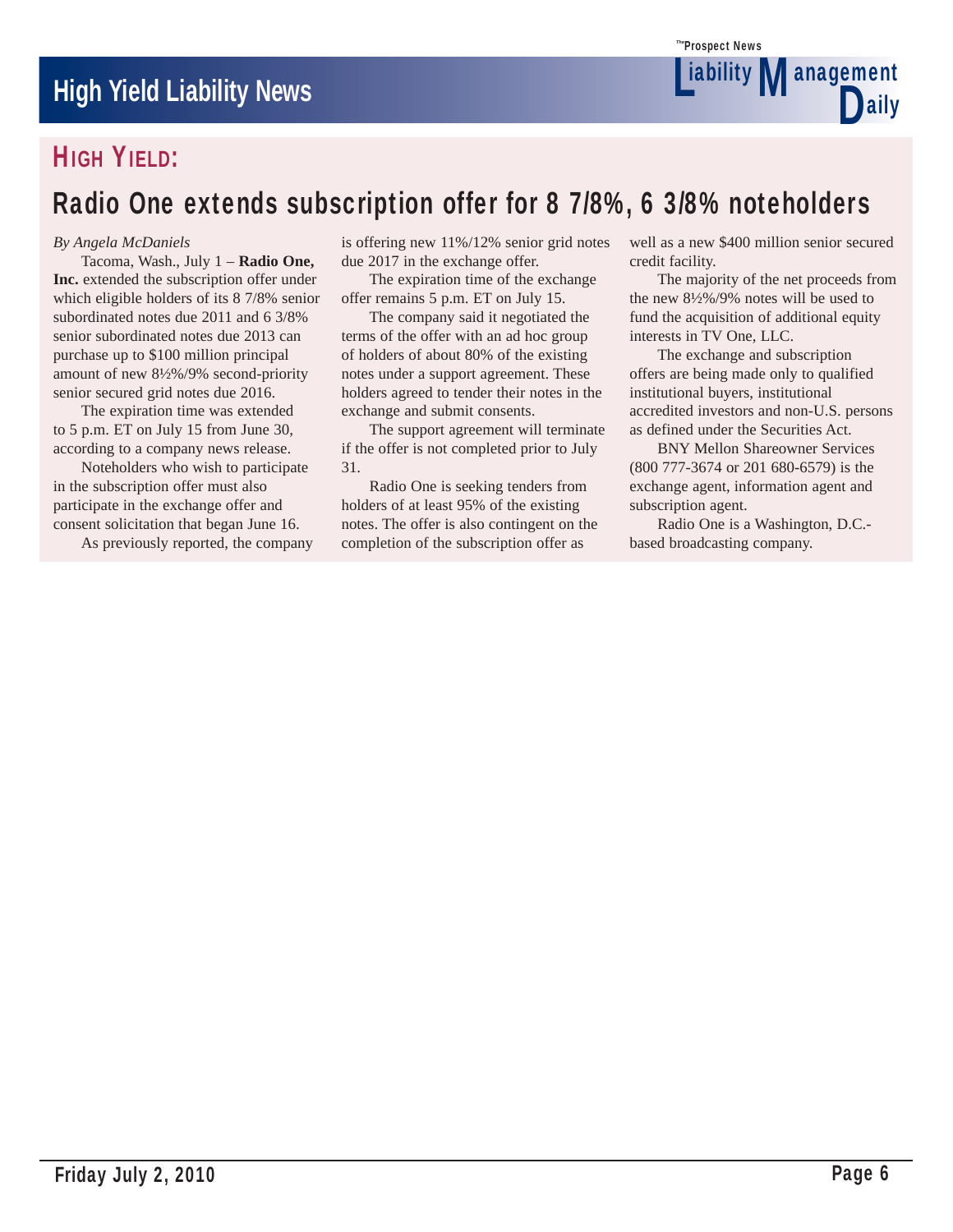

# HIGH YIELD:

# Radio One extends subscription offer for 8 7/8%, 6 3/8% noteholders

### *By Angela McDaniels*

 Tacoma, Wash., July 1 – **Radio One, Inc.** extended the subscription offer under which eligible holders of its 8 7/8% senior subordinated notes due 2011 and 6 3/8% senior subordinated notes due 2013 can purchase up to \$100 million principal amount of new 8½%/9% second-priority senior secured grid notes due 2016.

 The expiration time was extended to 5 p.m. ET on July 15 from June 30, according to a company news release.

 Noteholders who wish to participate in the subscription offer must also participate in the exchange offer and consent solicitation that began June 16.

As previously reported, the company

is offering new 11%/12% senior grid notes due 2017 in the exchange offer.

 The expiration time of the exchange offer remains 5 p.m. ET on July 15.

 The company said it negotiated the terms of the offer with an ad hoc group of holders of about 80% of the existing notes under a support agreement. These holders agreed to tender their notes in the exchange and submit consents.

 The support agreement will terminate if the offer is not completed prior to July 31.

 Radio One is seeking tenders from holders of at least 95% of the existing notes. The offer is also contingent on the completion of the subscription offer as

well as a new \$400 million senior secured credit facility.

 The majority of the net proceeds from the new 8½%/9% notes will be used to fund the acquisition of additional equity interests in TV One, LLC.

 The exchange and subscription offers are being made only to qualified institutional buyers, institutional accredited investors and non-U.S. persons as defined under the Securities Act.

 BNY Mellon Shareowner Services (800 777-3674 or 201 680-6579) is the exchange agent, information agent and subscription agent.

 Radio One is a Washington, D.C. based broadcasting company.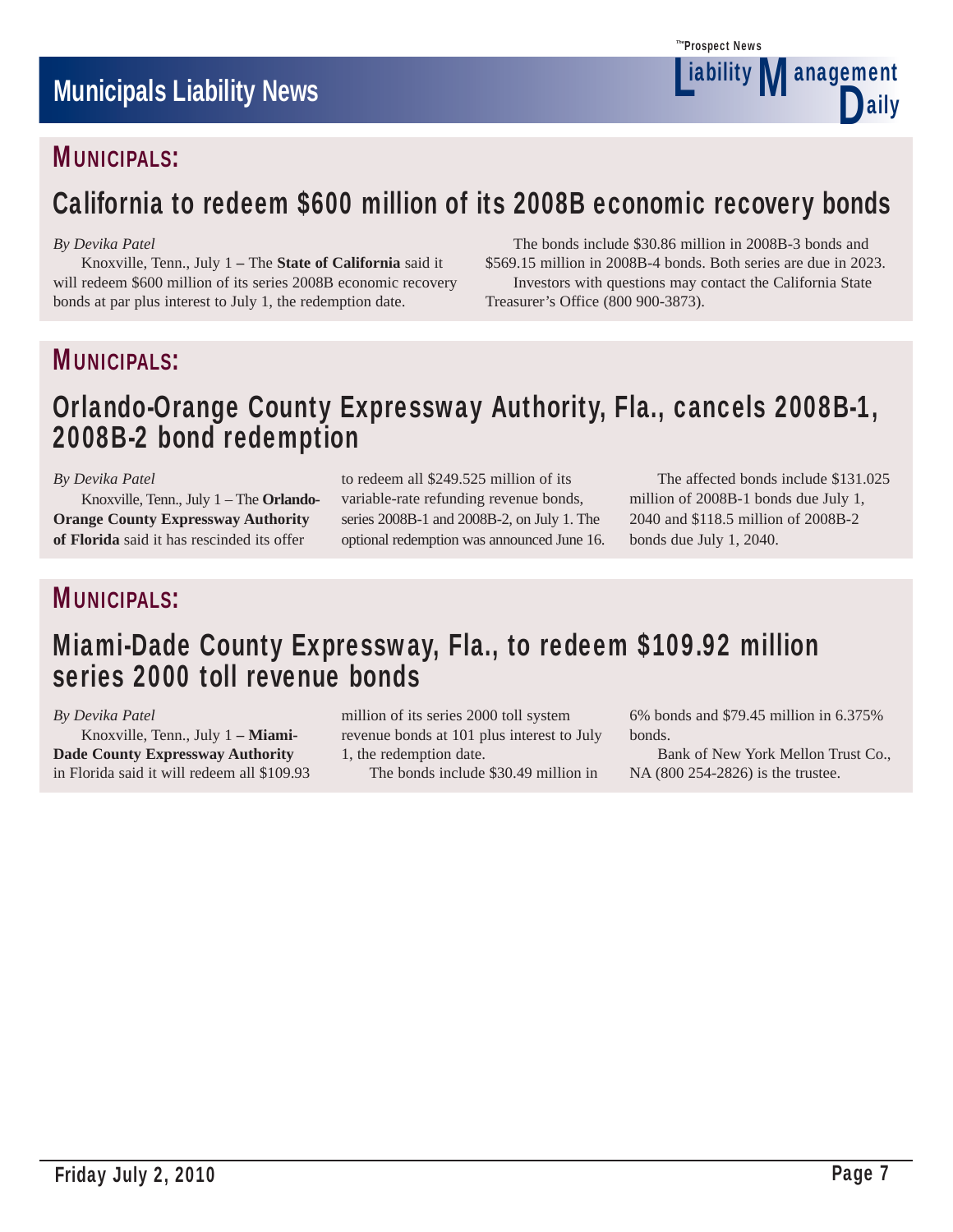

# MUNICIPALS:

# California to redeem \$600 million of its 2008B economic recovery bonds

### *By Devika Patel*

 Knoxville, Tenn., July 1 **–** The **State of California** said it will redeem \$600 million of its series 2008B economic recovery bonds at par plus interest to July 1, the redemption date.

 The bonds include \$30.86 million in 2008B-3 bonds and \$569.15 million in 2008B-4 bonds. Both series are due in 2023. Investors with questions may contact the California State Treasurer's Office (800 900-3873).

### MUNICIPALS:

# Orlando-Orange County Expressway Authority, Fla., cancels 2008B-1, 2008B-2 bond redemption

### *By Devika Patel*

 Knoxville, Tenn., July 1 – The **Orlando-Orange County Expressway Authority of Florida** said it has rescinded its offer

to redeem all \$249.525 million of its variable-rate refunding revenue bonds, series 2008B-1 and 2008B-2, on July 1. The optional redemption was announced June 16.

 The affected bonds include \$131.025 million of 2008B-1 bonds due July 1, 2040 and \$118.5 million of 2008B-2 bonds due July 1, 2040.

# MUNICIPALS:

# Miami-Dade County Expressway, Fla., to redeem \$109.92 million series 2000 toll revenue bonds

### *By Devika Patel*

 Knoxville, Tenn., July 1 **– Miami-Dade County Expressway Authority**  in Florida said it will redeem all \$109.93 million of its series 2000 toll system revenue bonds at 101 plus interest to July 1, the redemption date.

The bonds include \$30.49 million in

6% bonds and \$79.45 million in 6.375% bonds.

 Bank of New York Mellon Trust Co., NA (800 254-2826) is the trustee.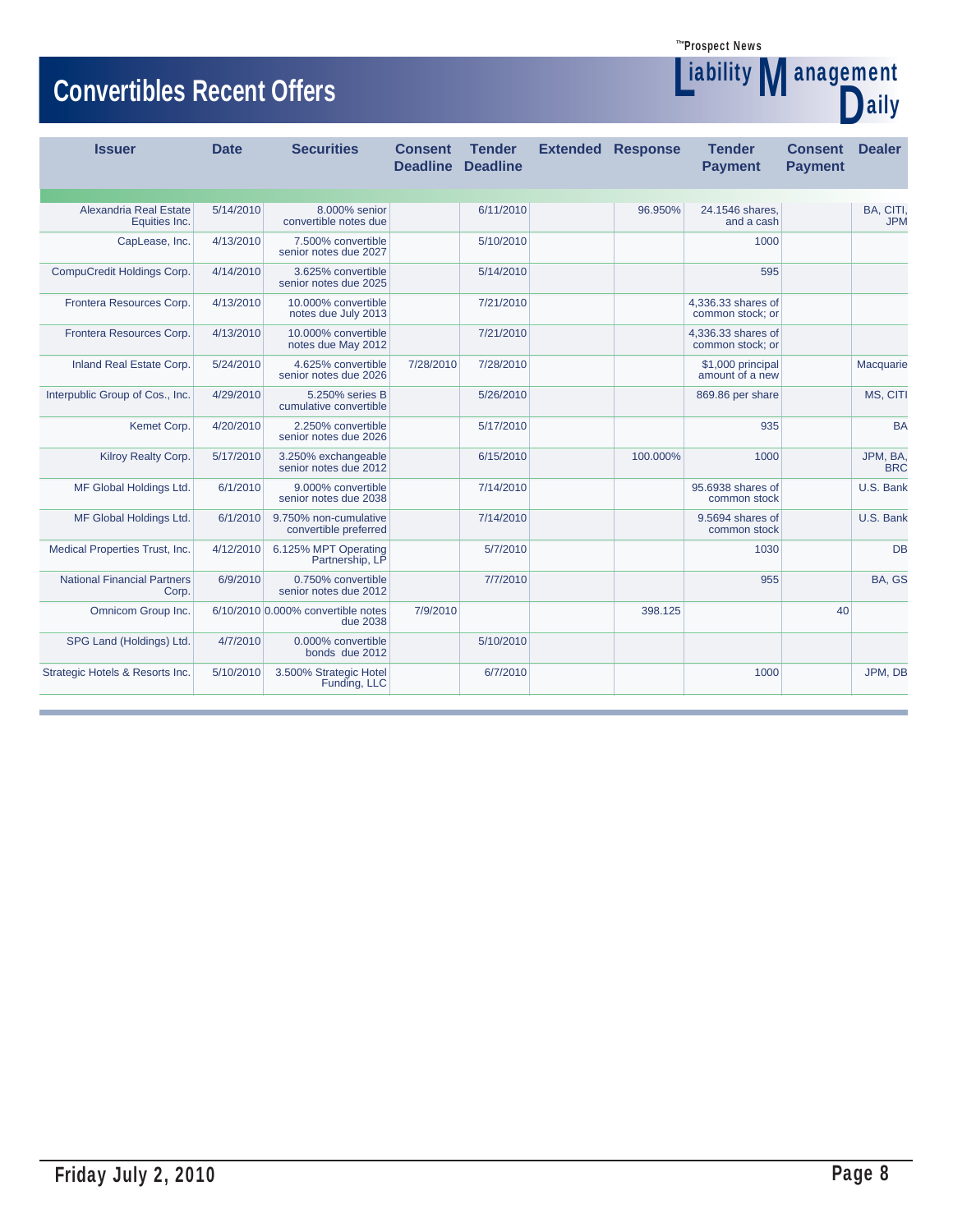Liability

# **Convertibles Recent Offers**<br> **Convertibles Recent Offers**

| <u>UUITU MUUJI KUULIIL UTTU J</u>           |             |                                                | <b>aily</b>                       |                                  |  |                          |                                        |                                  |                        |
|---------------------------------------------|-------------|------------------------------------------------|-----------------------------------|----------------------------------|--|--------------------------|----------------------------------------|----------------------------------|------------------------|
| <b>Issuer</b>                               | <b>Date</b> | <b>Securities</b>                              | <b>Consent</b><br><b>Deadline</b> | <b>Tender</b><br><b>Deadline</b> |  | <b>Extended Response</b> | <b>Tender</b><br><b>Payment</b>        | <b>Consent</b><br><b>Payment</b> | <b>Dealer</b>          |
| Alexandria Real Estate                      | 5/14/2010   | 8.000% senior                                  |                                   | 6/11/2010                        |  | 96.950%                  | 24.1546 shares,                        |                                  | BA, CITI,              |
| Equities Inc.                               |             | convertible notes due                          |                                   |                                  |  |                          | and a cash                             |                                  | <b>JPM</b>             |
| CapLease, Inc.                              | 4/13/2010   | 7.500% convertible<br>senior notes due 2027    |                                   | 5/10/2010                        |  |                          | 1000                                   |                                  |                        |
| CompuCredit Holdings Corp.                  | 4/14/2010   | 3.625% convertible<br>senior notes due 2025    |                                   | 5/14/2010                        |  |                          | 595                                    |                                  |                        |
| Frontera Resources Corp.                    | 4/13/2010   | 10.000% convertible<br>notes due July 2013     |                                   | 7/21/2010                        |  |                          | 4.336.33 shares of<br>common stock; or |                                  |                        |
| Frontera Resources Corp.                    | 4/13/2010   | 10.000% convertible<br>notes due May 2012      |                                   | 7/21/2010                        |  |                          | 4.336.33 shares of<br>common stock: or |                                  |                        |
| Inland Real Estate Corp.                    | 5/24/2010   | 4.625% convertible<br>senior notes due 2026    | 7/28/2010                         | 7/28/2010                        |  |                          | \$1,000 principal<br>amount of a new   |                                  | Macquarie              |
| Interpublic Group of Cos., Inc.             | 4/29/2010   | 5.250% series B<br>cumulative convertible      |                                   | 5/26/2010                        |  |                          | 869.86 per share                       |                                  | MS, CITI               |
| Kemet Corp.                                 | 4/20/2010   | 2.250% convertible<br>senior notes due 2026    |                                   | 5/17/2010                        |  |                          | 935                                    |                                  | <b>BA</b>              |
| Kilroy Realty Corp.                         | 5/17/2010   | 3.250% exchangeable<br>senior notes due 2012   |                                   | 6/15/2010                        |  | 100.000%                 | 1000                                   |                                  | JPM, BA.<br><b>BRC</b> |
| MF Global Holdings Ltd.                     | 6/1/2010    | 9.000% convertible<br>senior notes due 2038    |                                   | 7/14/2010                        |  |                          | 95.6938 shares of<br>common stock      |                                  | U.S. Bank              |
| MF Global Holdings Ltd.                     | 6/1/2010    | 9.750% non-cumulative<br>convertible preferred |                                   | 7/14/2010                        |  |                          | 9.5694 shares of<br>common stock       |                                  | U.S. Bank              |
| Medical Properties Trust, Inc.              | 4/12/2010   | 6.125% MPT Operating<br>Partnership, LP        |                                   | 5/7/2010                         |  |                          | 1030                                   |                                  | <b>DB</b>              |
| <b>National Financial Partners</b><br>Corp. | 6/9/2010    | 0.750% convertible<br>senior notes due 2012    |                                   | 7/7/2010                         |  |                          | 955                                    |                                  | BA, GS                 |
| Omnicom Group Inc.                          |             | 6/10/2010 0.000% convertible notes<br>due 2038 | 7/9/2010                          |                                  |  | 398.125                  |                                        | 40                               |                        |
| SPG Land (Holdings) Ltd.                    | 4/7/2010    | 0.000% convertible<br>bonds due 2012           |                                   | 5/10/2010                        |  |                          |                                        |                                  |                        |
| Strategic Hotels & Resorts Inc.             | 5/10/2010   | 3.500% Strategic Hotel<br>Funding, LLC         |                                   | 6/7/2010                         |  |                          | 1000                                   |                                  | JPM, DB                |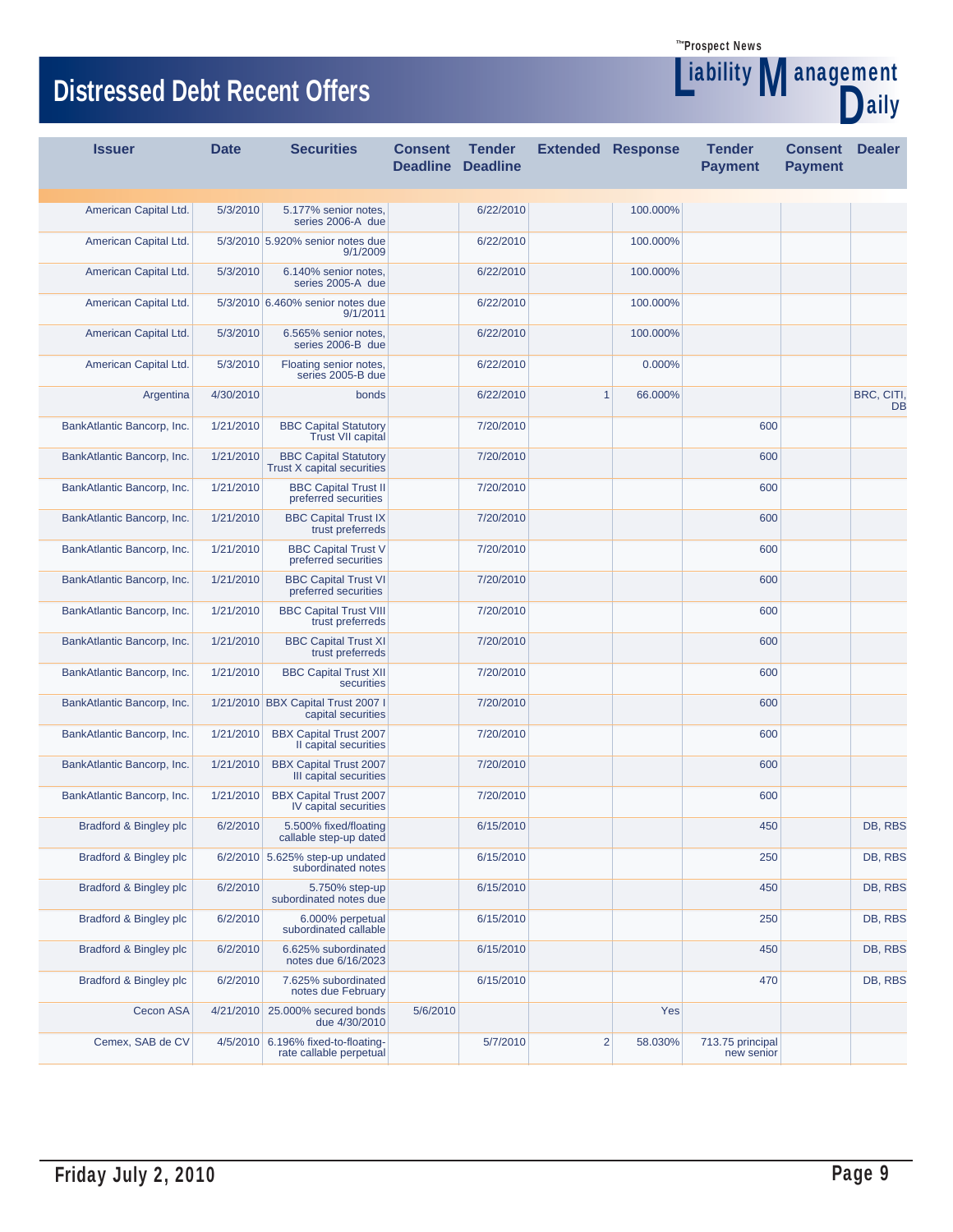**Liability Management** 

aily

# **Distressed Debt Recent Offers**

| <b>Issuer</b>              | <b>Date</b> | <b>Securities</b>                                             | <b>Consent</b><br><b>Deadline</b> | <b>Tender</b><br><b>Deadline</b> | <b>Extended Response</b> |          | <b>Tender</b><br><b>Payment</b> | <b>Consent</b><br><b>Pavment</b> | <b>Dealer</b>    |
|----------------------------|-------------|---------------------------------------------------------------|-----------------------------------|----------------------------------|--------------------------|----------|---------------------------------|----------------------------------|------------------|
|                            |             |                                                               |                                   |                                  |                          |          |                                 |                                  |                  |
| American Capital Ltd.      | 5/3/2010    | 5.177% senior notes,<br>series 2006-A due                     |                                   | 6/22/2010                        |                          | 100.000% |                                 |                                  |                  |
| American Capital Ltd.      |             | 5/3/2010 5.920% senior notes due<br>9/1/2009                  |                                   | 6/22/2010                        |                          | 100.000% |                                 |                                  |                  |
| American Capital Ltd.      | 5/3/2010    | 6.140% senior notes,<br>series 2005-A due                     |                                   | 6/22/2010                        |                          | 100.000% |                                 |                                  |                  |
| American Capital Ltd.      |             | 5/3/2010 6.460% senior notes due<br>9/1/2011                  |                                   | 6/22/2010                        |                          | 100.000% |                                 |                                  |                  |
| American Capital Ltd.      | 5/3/2010    | 6.565% senior notes,<br>series 2006-B due                     |                                   | 6/22/2010                        |                          | 100.000% |                                 |                                  |                  |
| American Capital Ltd.      | 5/3/2010    | Floating senior notes,<br>series 2005-B due                   |                                   | 6/22/2010                        |                          | 0.000%   |                                 |                                  |                  |
| Argentina                  | 4/30/2010   | bonds                                                         |                                   | 6/22/2010                        | $\mathbf{1}$             | 66.000%  |                                 |                                  | BRC, CITI,<br>DB |
| BankAtlantic Bancorp, Inc. | 1/21/2010   | <b>BBC Capital Statutory</b><br><b>Trust VII capital</b>      |                                   | 7/20/2010                        |                          |          | 600                             |                                  |                  |
| BankAtlantic Bancorp, Inc. | 1/21/2010   | <b>BBC Capital Statutory</b><br>Trust X capital securities    |                                   | 7/20/2010                        |                          |          | 600                             |                                  |                  |
| BankAtlantic Bancorp, Inc. | 1/21/2010   | <b>BBC Capital Trust II</b><br>preferred securities           |                                   | 7/20/2010                        |                          |          | 600                             |                                  |                  |
| BankAtlantic Bancorp, Inc. | 1/21/2010   | <b>BBC Capital Trust IX</b><br>trust preferreds               |                                   | 7/20/2010                        |                          |          | 600                             |                                  |                  |
| BankAtlantic Bancorp, Inc. | 1/21/2010   | <b>BBC Capital Trust V</b><br>preferred securities            |                                   | 7/20/2010                        |                          |          | 600                             |                                  |                  |
| BankAtlantic Bancorp, Inc. | 1/21/2010   | <b>BBC Capital Trust VI</b><br>preferred securities           |                                   | 7/20/2010                        |                          |          | 600                             |                                  |                  |
| BankAtlantic Bancorp, Inc. | 1/21/2010   | <b>BBC Capital Trust VIII</b><br>trust preferreds             |                                   | 7/20/2010                        |                          |          | 600                             |                                  |                  |
| BankAtlantic Bancorp, Inc. | 1/21/2010   | <b>BBC Capital Trust XI</b><br>trust preferreds               |                                   | 7/20/2010                        |                          |          | 600                             |                                  |                  |
| BankAtlantic Bancorp, Inc. | 1/21/2010   | <b>BBC Capital Trust XII</b><br>securities                    |                                   | 7/20/2010                        |                          |          | 600                             |                                  |                  |
| BankAtlantic Bancorp, Inc. |             | 1/21/2010 BBX Capital Trust 2007 I<br>capital securities      |                                   | 7/20/2010                        |                          |          | 600                             |                                  |                  |
| BankAtlantic Bancorp, Inc. | 1/21/2010   | <b>BBX Capital Trust 2007</b><br>II capital securities        |                                   | 7/20/2010                        |                          |          | 600                             |                                  |                  |
| BankAtlantic Bancorp, Inc. | 1/21/2010   | <b>BBX Capital Trust 2007</b><br>III capital securities       |                                   | 7/20/2010                        |                          |          | 600                             |                                  |                  |
| BankAtlantic Bancorp, Inc. | 1/21/2010   | <b>BBX Capital Trust 2007</b><br>IV capital securities        |                                   | 7/20/2010                        |                          |          | 600                             |                                  |                  |
| Bradford & Bingley plc     | 6/2/2010    | 5.500% fixed/floating<br>callable step-up dated               |                                   | 6/15/2010                        |                          |          | 450                             |                                  | DB, RBS          |
| Bradford & Bingley plc     |             | 6/2/2010 5.625% step-up undated<br>subordinated notes         |                                   | 6/15/2010                        |                          |          | 250                             |                                  | DB, RBS          |
| Bradford & Bingley plc     | 6/2/2010    | 5.750% step-up<br>subordinated notes due                      |                                   | 6/15/2010                        |                          |          | 450                             |                                  | DB, RBS          |
| Bradford & Bingley plc     | 6/2/2010    | 6.000% perpetual<br>subordinated callable                     |                                   | 6/15/2010                        |                          |          | 250                             |                                  | DB, RBS          |
| Bradford & Bingley plc     | 6/2/2010    | 6.625% subordinated<br>notes due 6/16/2023                    |                                   | 6/15/2010                        |                          |          | 450                             |                                  | DB, RBS          |
| Bradford & Bingley plc     | 6/2/2010    | 7.625% subordinated<br>notes due February                     |                                   | 6/15/2010                        |                          |          | 470                             |                                  | DB, RBS          |
| Cecon ASA                  |             | 4/21/2010 25.000% secured bonds<br>due 4/30/2010              | 5/6/2010                          |                                  |                          | Yes      |                                 |                                  |                  |
| Cemex, SAB de CV           |             | 4/5/2010 6.196% fixed-to-floating-<br>rate callable perpetual |                                   | 5/7/2010                         | 2                        | 58.030%  | 713.75 principal<br>new senior  |                                  |                  |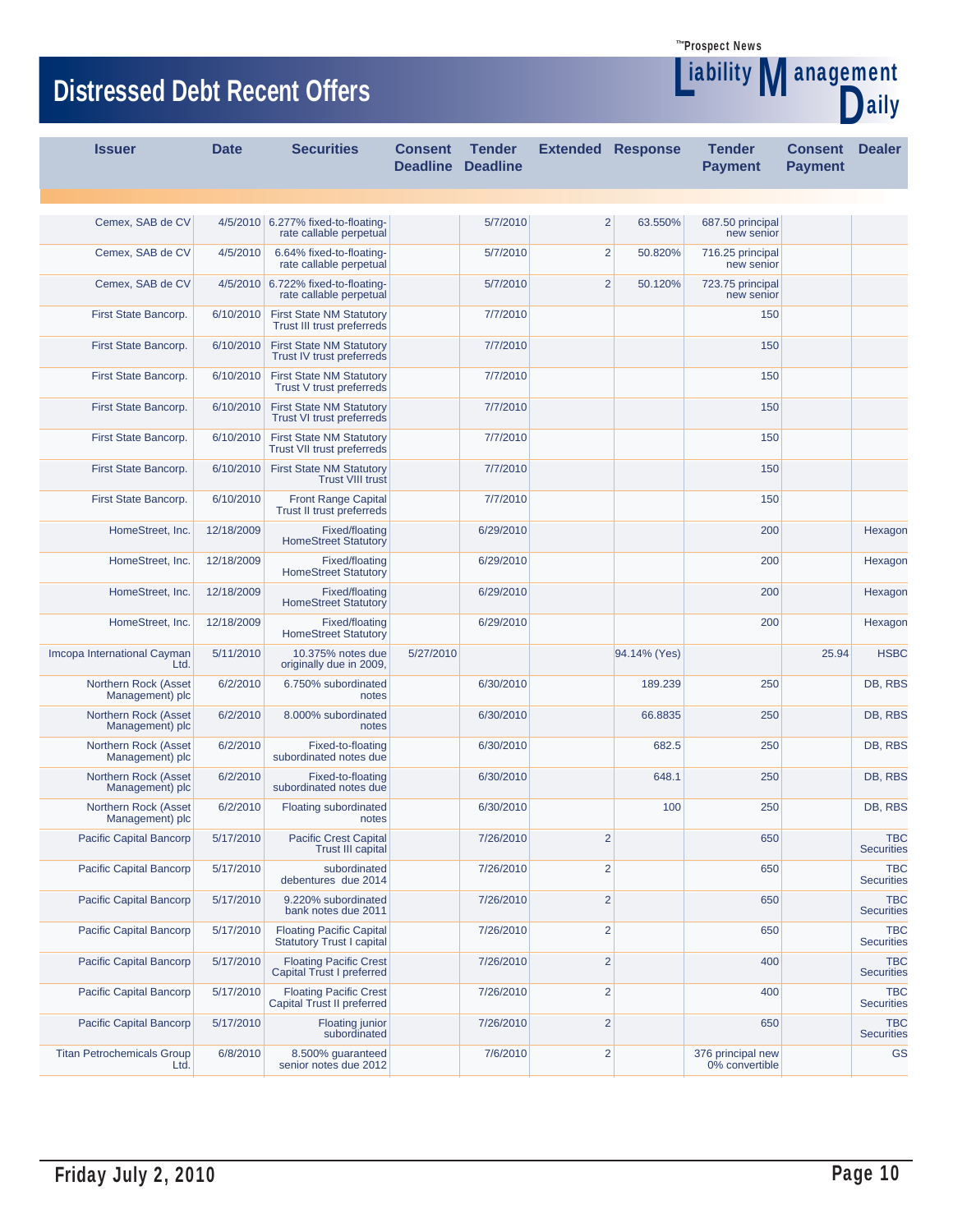**Liability Management** 

aily

# **Distressed Debt Recent Offers**

| <b>Issuer</b>                           | <b>Date</b>       | <b>Securities</b>                                                    | <b>Consent</b> | <b>Tender</b><br><b>Deadline Deadline</b> | <b>Extended Response</b> |              | <b>Tender</b><br><b>Payment</b>     | <b>Consent</b><br><b>Payment</b> | <b>Dealer</b>                   |
|-----------------------------------------|-------------------|----------------------------------------------------------------------|----------------|-------------------------------------------|--------------------------|--------------|-------------------------------------|----------------------------------|---------------------------------|
|                                         |                   |                                                                      |                |                                           |                          |              |                                     |                                  |                                 |
| Cemex, SAB de CV                        |                   | 4/5/2010 6.277% fixed-to-floating-<br>rate callable perpetual        |                | 5/7/2010                                  | $\overline{2}$           | 63.550%      | 687.50 principal<br>new senior      |                                  |                                 |
| Cemex, SAB de CV                        | 4/5/2010          | 6.64% fixed-to-floating-<br>rate callable perpetual                  |                | 5/7/2010                                  | $\overline{\mathbf{c}}$  | 50.820%      | 716.25 principal<br>new senior      |                                  |                                 |
| Cemex, SAB de CV                        |                   | 4/5/2010 6.722% fixed-to-floating-<br>rate callable perpetual        |                | 5/7/2010                                  | $\overline{2}$           | 50.120%      | 723.75 principal<br>new senior      |                                  |                                 |
| First State Bancorp.                    | 6/10/2010         | <b>First State NM Statutory</b><br>Trust III trust preferreds        |                | 7/7/2010                                  |                          |              | 150                                 |                                  |                                 |
| First State Bancorp.                    | 6/10/2010         | <b>First State NM Statutory</b><br>Trust IV trust preferreds         |                | 7/7/2010                                  |                          |              | 150                                 |                                  |                                 |
| First State Bancorp.                    | 6/10/2010         | <b>First State NM Statutory</b><br>Trust V trust preferreds          |                | 7/7/2010                                  |                          |              | 150                                 |                                  |                                 |
| First State Bancorp.                    | 6/10/2010         | <b>First State NM Statutory</b><br><b>Trust VI trust preferreds</b>  |                | 7/7/2010                                  |                          |              | 150                                 |                                  |                                 |
| First State Bancorp.                    | 6/10/2010         | <b>First State NM Statutory</b><br><b>Trust VII trust preferreds</b> |                | 7/7/2010                                  |                          |              | 150                                 |                                  |                                 |
| First State Bancorp.                    | 6/10/2010         | <b>First State NM Statutory</b><br><b>Trust VIII trust</b>           |                | 7/7/2010                                  |                          |              | 150                                 |                                  |                                 |
| First State Bancorp.                    | 6/10/2010         | <b>Front Range Capital</b><br>Trust II trust preferreds              |                | 7/7/2010                                  |                          |              | 150                                 |                                  |                                 |
| HomeStreet, Inc.                        | 12/18/2009        | Fixed/floating<br><b>HomeStreet Statutory</b>                        |                | 6/29/2010                                 |                          |              | 200                                 |                                  | Hexagon                         |
| HomeStreet, Inc.                        | 12/18/2009        | Fixed/floating<br><b>HomeStreet Statutory</b>                        |                | 6/29/2010                                 |                          |              | 200                                 |                                  | Hexagon                         |
| HomeStreet, Inc.                        | 12/18/2009        | Fixed/floating<br><b>HomeStreet Statutory</b>                        |                | 6/29/2010                                 |                          |              | 200                                 |                                  | Hexagon                         |
| HomeStreet, Inc.                        | 12/18/2009        | Fixed/floating<br><b>HomeStreet Statutory</b>                        |                | 6/29/2010                                 |                          |              | 200                                 |                                  | Hexagon                         |
| Imcopa International Cayman             | 5/11/2010<br>Ltd. | 10.375% notes due<br>originally due in 2009,                         | 5/27/2010      |                                           |                          | 94.14% (Yes) |                                     | 25.94                            | <b>HSBC</b>                     |
| Northern Rock (Asset<br>Management) plc | 6/2/2010          | 6.750% subordinated<br>notes                                         |                | 6/30/2010                                 |                          | 189.239      | 250                                 |                                  | DB, RBS                         |
| Northern Rock (Asset<br>Management) plc | 6/2/2010          | 8.000% subordinated<br>notes                                         |                | 6/30/2010                                 |                          | 66.8835      | 250                                 |                                  | DB, RBS                         |
| Northern Rock (Asset<br>Management) plc | 6/2/2010          | Fixed-to-floating<br>subordinated notes due                          |                | 6/30/2010                                 |                          | 682.5        | 250                                 |                                  | DB, RBS                         |
| Northern Rock (Asset<br>Management) plc | 6/2/2010          | Fixed-to-floating<br>subordinated notes due                          |                | 6/30/2010                                 |                          | 648.1        | 250                                 |                                  | DB, RBS                         |
| Northern Rock (Asset<br>Management) plc | 6/2/2010          | <b>Floating subordinated</b><br>notes                                |                | 6/30/2010                                 |                          | 100          | 250                                 |                                  | DB, RBS                         |
| Pacific Capital Bancorp                 | 5/17/2010         | <b>Pacific Crest Capital</b><br><b>Trust III capital</b>             |                | 7/26/2010                                 | 2                        |              | 650                                 |                                  | TBC<br><b>Securities</b>        |
| Pacific Capital Bancorp                 | 5/17/2010         | subordinated<br>debentures due 2014                                  |                | 7/26/2010                                 | $\overline{2}$           |              | 650                                 |                                  | <b>TBC</b><br><b>Securities</b> |
| Pacific Capital Bancorp                 | 5/17/2010         | 9.220% subordinated<br>bank notes due 2011                           |                | 7/26/2010                                 | $\overline{2}$           |              | 650                                 |                                  | <b>TBC</b><br><b>Securities</b> |
| Pacific Capital Bancorp                 | 5/17/2010         | <b>Floating Pacific Capital</b><br><b>Statutory Trust I capital</b>  |                | 7/26/2010                                 | $\overline{2}$           |              | 650                                 |                                  | <b>TBC</b><br><b>Securities</b> |
| <b>Pacific Capital Bancorp</b>          | 5/17/2010         | <b>Floating Pacific Crest</b><br>Capital Trust I preferred           |                | 7/26/2010                                 | $\overline{2}$           |              | 400                                 |                                  | <b>TBC</b><br><b>Securities</b> |
| Pacific Capital Bancorp                 | 5/17/2010         | <b>Floating Pacific Crest</b><br>Capital Trust II preferred          |                | 7/26/2010                                 | $\overline{2}$           |              | 400                                 |                                  | <b>TBC</b><br><b>Securities</b> |
| Pacific Capital Bancorp                 | 5/17/2010         | <b>Floating junior</b><br>subordinated                               |                | 7/26/2010                                 | $\overline{2}$           |              | 650                                 |                                  | <b>TBC</b><br><b>Securities</b> |
| <b>Titan Petrochemicals Group</b>       | 6/8/2010<br>Ltd.  | 8.500% guaranteed<br>senior notes due 2012                           |                | 7/6/2010                                  | $\overline{\mathbf{c}}$  |              | 376 principal new<br>0% convertible |                                  | GS                              |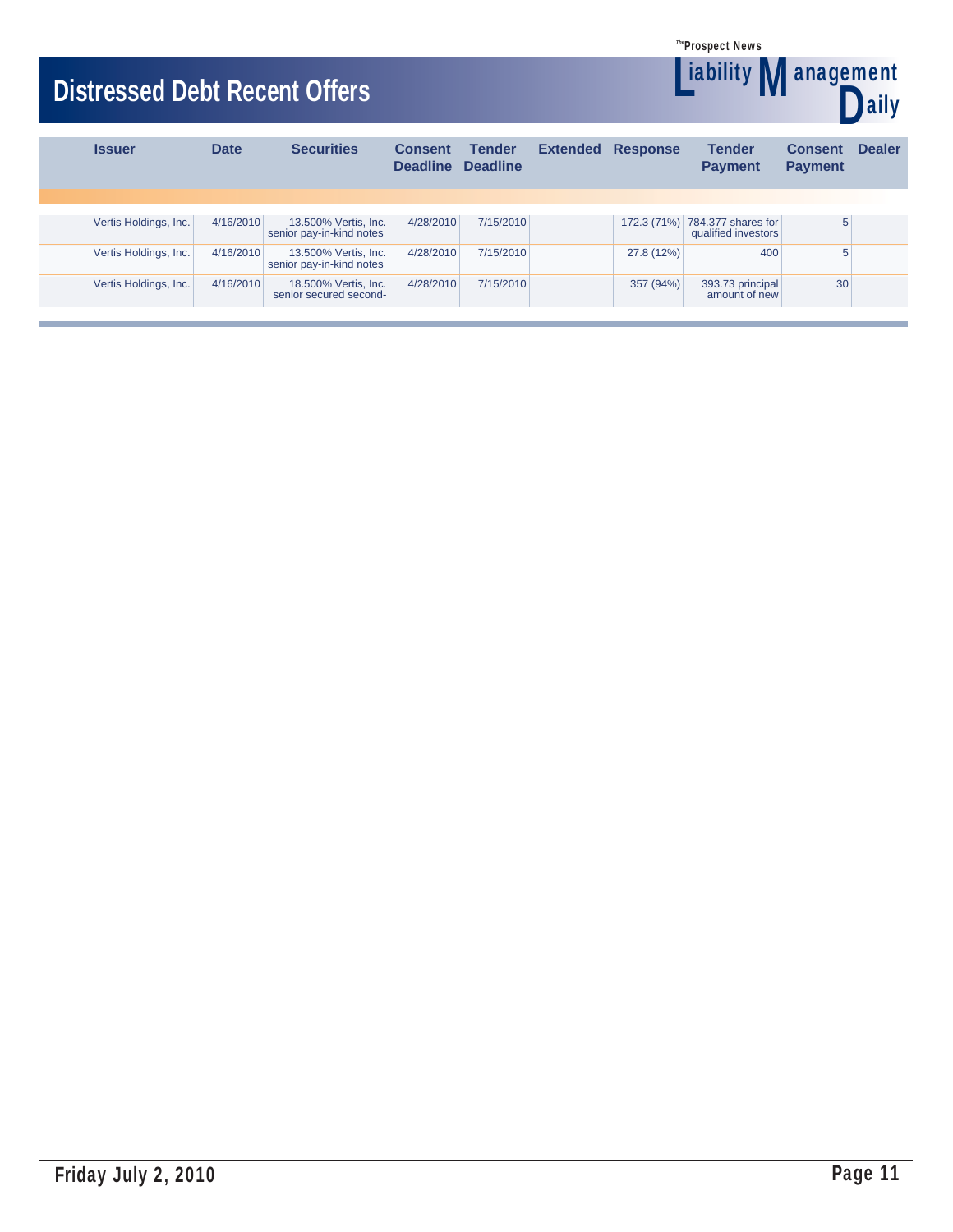**Liability Management** 

**aily** 

# **Distressed Debt Recent Offers**

| <b>Issuer</b>         | <b>Date</b> | <b>Securities</b>                                | <b>Consent</b><br><b>Deadline</b> | <b>Tender</b><br><b>Deadline</b> | <b>Extended Response</b> | <b>Tender</b><br><b>Payment</b>                       | <b>Consent</b><br><b>Payment</b> | <b>Dealer</b> |
|-----------------------|-------------|--------------------------------------------------|-----------------------------------|----------------------------------|--------------------------|-------------------------------------------------------|----------------------------------|---------------|
|                       |             |                                                  |                                   |                                  |                          |                                                       |                                  |               |
| Vertis Holdings, Inc. | 4/16/2010   | 13.500% Vertis, Inc.<br>senior pay-in-kind notes | 4/28/2010                         | 7/15/2010                        |                          | 172.3 (71%) 784.377 shares for<br>qualified investors | 5                                |               |
| Vertis Holdings, Inc. | 4/16/2010   | 13.500% Vertis, Inc.<br>senior pay-in-kind notes | 4/28/2010                         | 7/15/2010                        | 27.8 (12%)               | 400                                                   | 5                                |               |
| Vertis Holdings, Inc. | 4/16/2010   | 18.500% Vertis, Inc.<br>senior secured second-   | 4/28/2010                         | 7/15/2010                        | 357 (94%)                | 393.73 principal<br>amount of new                     | 30 <sup>°</sup>                  |               |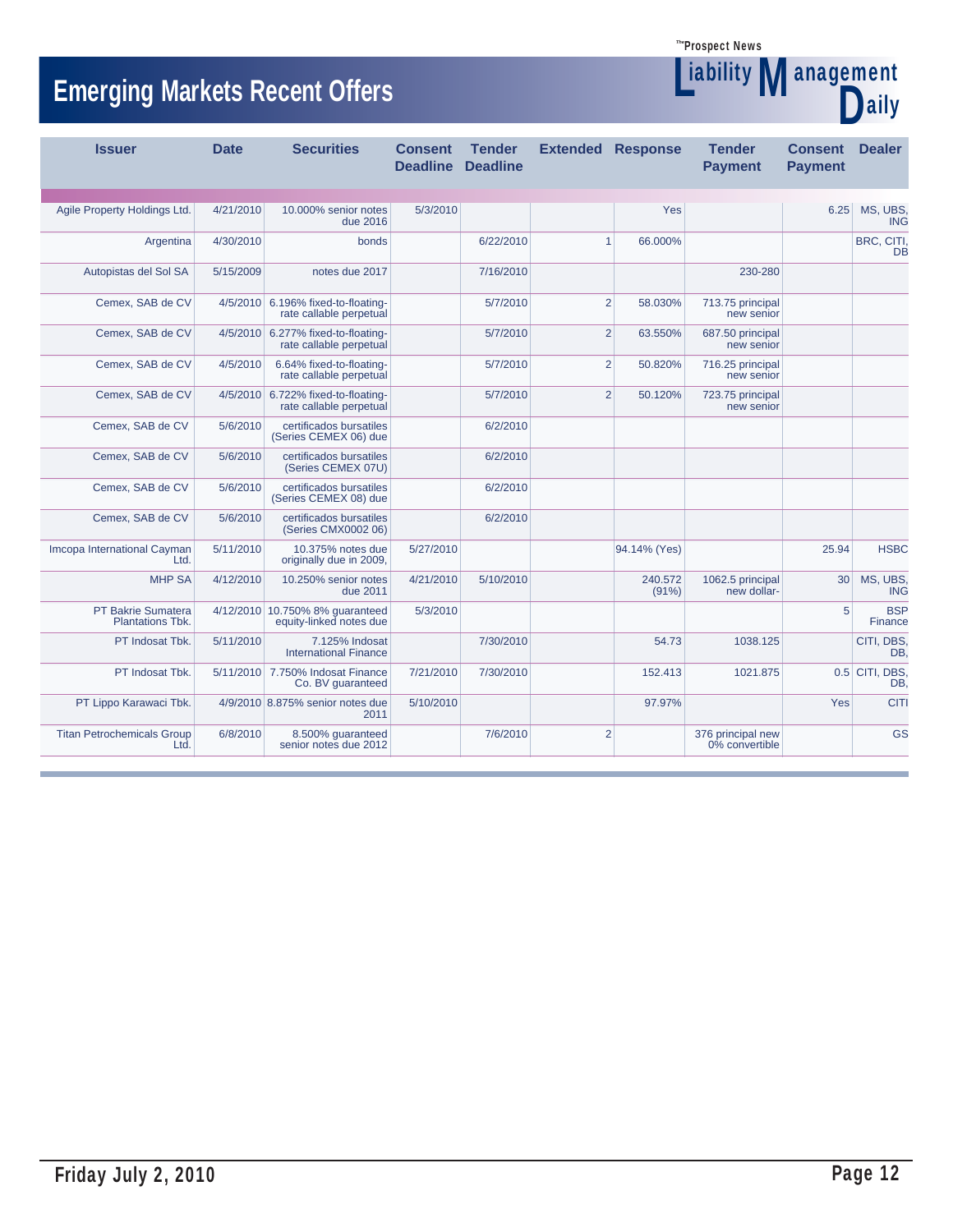**Liability Management** 

Daily

# **Emerging Markets Recent Offers**

| <b>Issuer</b>                             | <b>Date</b> | <b>Securities</b>                                             | <b>Consent</b><br><b>Deadline</b> | <b>Tender</b><br><b>Deadline</b> | <b>Extended Response</b> |                     | <b>Tender</b><br><b>Payment</b>     | <b>Consent</b><br><b>Payment</b> | <b>Dealer</b>           |
|-------------------------------------------|-------------|---------------------------------------------------------------|-----------------------------------|----------------------------------|--------------------------|---------------------|-------------------------------------|----------------------------------|-------------------------|
|                                           |             |                                                               | 5/3/2010                          |                                  |                          |                     |                                     |                                  | MS, UBS,                |
| Agile Property Holdings Ltd.              | 4/21/2010   | 10.000% senior notes<br>due 2016                              |                                   |                                  |                          | Yes                 |                                     | 6.25                             | <b>ING</b>              |
| Argentina                                 | 4/30/2010   | bonds                                                         |                                   | 6/22/2010                        | $\mathbf{1}$             | 66.000%             |                                     |                                  | BRC, CITI,<br>DB        |
| Autopistas del Sol SA                     | 5/15/2009   | notes due 2017                                                |                                   | 7/16/2010                        |                          |                     | 230-280                             |                                  |                         |
| Cemex, SAB de CV                          |             | 4/5/2010 6.196% fixed-to-floating-<br>rate callable perpetual |                                   | 5/7/2010                         | $\overline{2}$           | 58.030%             | 713.75 principal<br>new senior      |                                  |                         |
| Cemex, SAB de CV                          |             | 4/5/2010 6.277% fixed-to-floating-<br>rate callable perpetual |                                   | 5/7/2010                         | $\overline{2}$           | 63.550%             | 687.50 principal<br>new senior      |                                  |                         |
| Cemex, SAB de CV                          | 4/5/2010    | 6.64% fixed-to-floating-<br>rate callable perpetual           |                                   | 5/7/2010                         | 2                        | 50.820%             | 716.25 principal<br>new senior      |                                  |                         |
| Cemex, SAB de CV                          |             | 4/5/2010 6.722% fixed-to-floating-<br>rate callable perpetual |                                   | 5/7/2010                         | 2                        | 50.120%             | 723.75 principal<br>new senior      |                                  |                         |
| Cemex, SAB de CV                          | 5/6/2010    | certificados bursatiles<br>(Series CEMEX 06) due              |                                   | 6/2/2010                         |                          |                     |                                     |                                  |                         |
| Cemex, SAB de CV                          | 5/6/2010    | certificados bursatiles<br>(Series CEMEX 07U)                 |                                   | 6/2/2010                         |                          |                     |                                     |                                  |                         |
| Cemex, SAB de CV                          | 5/6/2010    | certificados bursatiles<br>(Series CEMEX 08) due              |                                   | 6/2/2010                         |                          |                     |                                     |                                  |                         |
| Cemex, SAB de CV                          | 5/6/2010    | certificados bursatiles<br>(Series CMX0002 06)                |                                   | 6/2/2010                         |                          |                     |                                     |                                  |                         |
| Imcopa International Cayman<br>Ltd.       | 5/11/2010   | 10.375% notes due<br>originally due in 2009,                  | 5/27/2010                         |                                  |                          | 94.14% (Yes)        |                                     | 25.94                            | <b>HSBC</b>             |
| <b>MHP SA</b>                             | 4/12/2010   | 10.250% senior notes<br>due 2011                              | 4/21/2010                         | 5/10/2010                        |                          | 240.572<br>$(91\%)$ | 1062.5 principal<br>new dollar-     | 30                               | MS, UBS,<br><b>ING</b>  |
| PT Bakrie Sumatera<br>Plantations Tbk.    |             | 4/12/2010 10.750% 8% guaranteed<br>equity-linked notes due    | 5/3/2010                          |                                  |                          |                     |                                     | 5                                | <b>BSP</b><br>Finance   |
| PT Indosat Tbk.                           | 5/11/2010   | 7.125% Indosat<br><b>International Finance</b>                |                                   | 7/30/2010                        |                          | 54.73               | 1038.125                            |                                  | CITI, DBS.<br>DB.       |
| PT Indosat Tbk.                           |             | 5/11/2010 7.750% Indosat Finance<br>Co. BV guaranteed         | 7/21/2010                         | 7/30/2010                        |                          | 152.413             | 1021.875                            |                                  | $0.5$ CITI, DBS,<br>DB. |
| PT Lippo Karawaci Tbk.                    |             | 4/9/2010 8.875% senior notes due<br>2011                      | 5/10/2010                         |                                  |                          | 97.97%              |                                     | Yes                              | <b>CITI</b>             |
| <b>Titan Petrochemicals Group</b><br>Ltd. | 6/8/2010    | 8.500% quaranteed<br>senior notes due 2012                    |                                   | 7/6/2010                         | $\overline{2}$           |                     | 376 principal new<br>0% convertible |                                  | GS                      |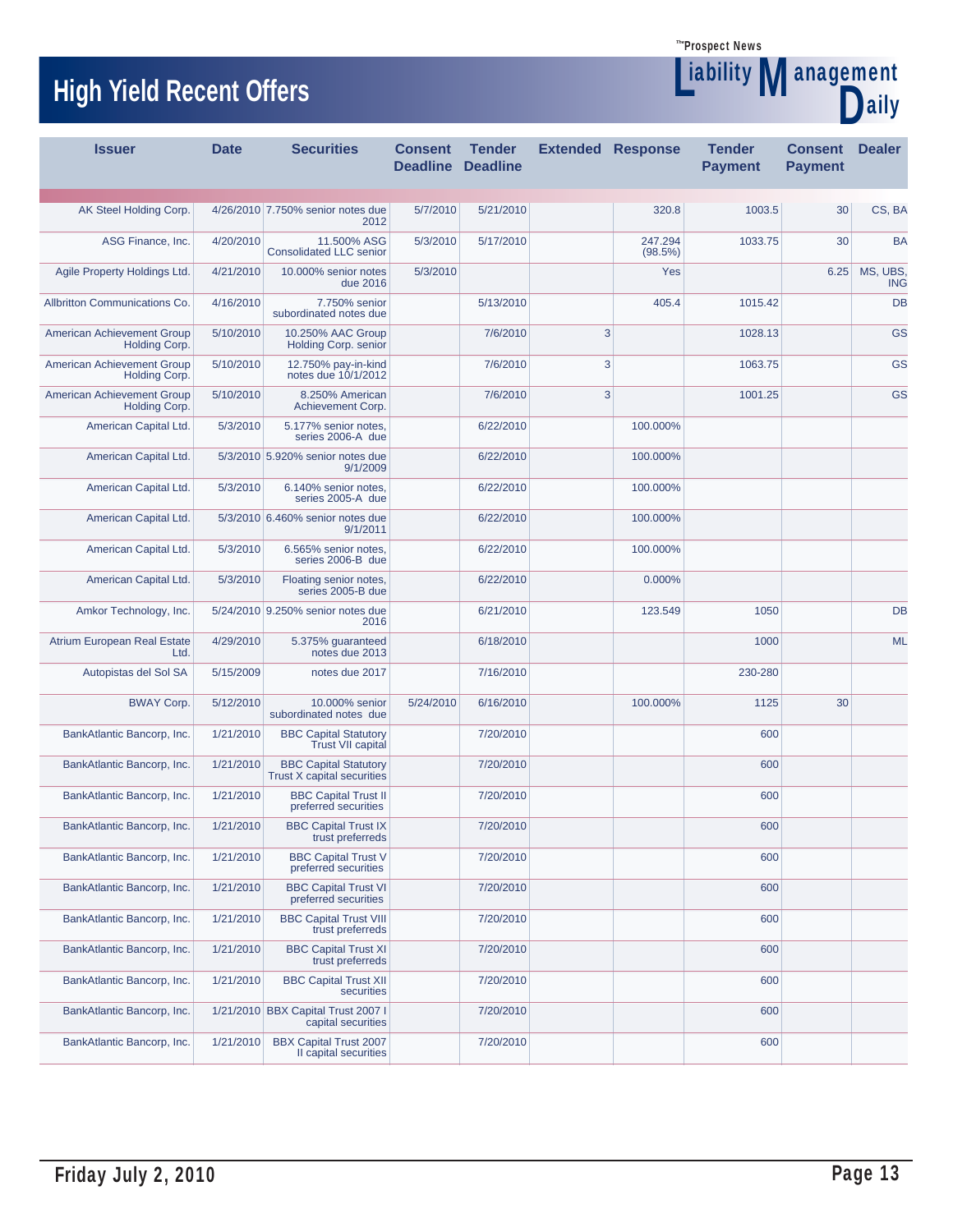# **High Yield Recent Offers Management** Management

Liability



| <b>Issuer</b>                               | <b>Date</b> | <b>Securities</b>                                          | <b>Consent</b><br><b>Deadline</b> | <b>Tender</b><br><b>Deadline</b> | <b>Extended Response</b> |                    | <b>Tender</b><br><b>Payment</b> | <b>Consent</b><br><b>Payment</b> | <b>Dealer</b>   |
|---------------------------------------------|-------------|------------------------------------------------------------|-----------------------------------|----------------------------------|--------------------------|--------------------|---------------------------------|----------------------------------|-----------------|
|                                             |             |                                                            |                                   |                                  |                          |                    |                                 |                                  |                 |
| AK Steel Holding Corp.                      |             | 4/26/2010 7.750% senior notes due<br>2012                  | 5/7/2010                          | 5/21/2010                        |                          | 320.8              | 1003.5                          | 30                               | CS, BA          |
| ASG Finance, Inc.                           | 4/20/2010   | 11.500% ASG<br><b>Consolidated LLC senior</b>              | 5/3/2010                          | 5/17/2010                        |                          | 247.294<br>(98.5%) | 1033.75                         | 30                               | <b>BA</b>       |
| Agile Property Holdings Ltd.                | 4/21/2010   | 10.000% senior notes<br>due 2016                           | 5/3/2010                          |                                  |                          | Yes                |                                 | 6.25                             | MS, UBS,<br>ING |
| Allbritton Communications Co.               | 4/16/2010   | 7.750% senior<br>subordinated notes due                    |                                   | 5/13/2010                        |                          | 405.4              | 1015.42                         |                                  | DB              |
| American Achievement Group<br>Holding Corp. | 5/10/2010   | 10.250% AAC Group<br><b>Holding Corp. senior</b>           |                                   | 7/6/2010                         | 3                        |                    | 1028.13                         |                                  | <b>GS</b>       |
| American Achievement Group<br>Holding Corp. | 5/10/2010   | 12.750% pay-in-kind<br>notes due 10/1/2012                 |                                   | 7/6/2010                         | 3                        |                    | 1063.75                         |                                  | <b>GS</b>       |
| American Achievement Group<br>Holding Corp. | 5/10/2010   | 8.250% American<br>Achievement Corp.                       |                                   | 7/6/2010                         | 3                        |                    | 1001.25                         |                                  | <b>GS</b>       |
| American Capital Ltd.                       | 5/3/2010    | 5.177% senior notes,<br>series 2006-A due                  |                                   | 6/22/2010                        |                          | 100.000%           |                                 |                                  |                 |
| American Capital Ltd.                       |             | 5/3/2010 5.920% senior notes due<br>9/1/2009               |                                   | 6/22/2010                        |                          | 100.000%           |                                 |                                  |                 |
| American Capital Ltd.                       | 5/3/2010    | 6.140% senior notes.<br>series 2005-A due                  |                                   | 6/22/2010                        |                          | 100.000%           |                                 |                                  |                 |
| American Capital Ltd.                       |             | 5/3/2010 6.460% senior notes due<br>9/1/2011               |                                   | 6/22/2010                        |                          | 100.000%           |                                 |                                  |                 |
| American Capital Ltd.                       | 5/3/2010    | 6.565% senior notes,<br>series 2006-B due                  |                                   | 6/22/2010                        |                          | 100.000%           |                                 |                                  |                 |
| American Capital Ltd.                       | 5/3/2010    | Floating senior notes,<br>series 2005-B due                |                                   | 6/22/2010                        |                          | 0.000%             |                                 |                                  |                 |
| Amkor Technology, Inc.                      |             | 5/24/2010 9.250% senior notes due<br>2016                  |                                   | 6/21/2010                        |                          | 123.549            | 1050                            |                                  | <b>DB</b>       |
| <b>Atrium European Real Estate</b><br>Ltd.  | 4/29/2010   | 5.375% guaranteed<br>notes due 2013                        |                                   | 6/18/2010                        |                          |                    | 1000                            |                                  | <b>ML</b>       |
| Autopistas del Sol SA                       | 5/15/2009   | notes due 2017                                             |                                   | 7/16/2010                        |                          |                    | 230-280                         |                                  |                 |
| <b>BWAY Corp.</b>                           | 5/12/2010   | 10.000% senior<br>subordinated notes due                   | 5/24/2010                         | 6/16/2010                        |                          | 100.000%           | 1125                            | 30                               |                 |
| BankAtlantic Bancorp, Inc.                  | 1/21/2010   | <b>BBC Capital Statutory</b><br><b>Trust VII capital</b>   |                                   | 7/20/2010                        |                          |                    | 600                             |                                  |                 |
| BankAtlantic Bancorp, Inc.                  | 1/21/2010   | <b>BBC Capital Statutory</b><br>Trust X capital securities |                                   | 7/20/2010                        |                          |                    | 600                             |                                  |                 |
| BankAtlantic Bancorp, Inc.                  | 1/21/2010   | <b>BBC Capital Trust II</b><br>preferred securities        |                                   | 7/20/2010                        |                          |                    | 600                             |                                  |                 |
| BankAtlantic Bancorp, Inc.                  | 1/21/2010   | <b>BBC Capital Trust IX</b><br>trust preferreds            |                                   | 7/20/2010                        |                          |                    | 600                             |                                  |                 |
| BankAtlantic Bancorp, Inc.                  | 1/21/2010   | <b>BBC Capital Trust V</b><br>preferred securities         |                                   | 7/20/2010                        |                          |                    | 600                             |                                  |                 |
| BankAtlantic Bancorp, Inc.                  | 1/21/2010   | <b>BBC Capital Trust VI</b><br>preferred securities        |                                   | 7/20/2010                        |                          |                    | 600                             |                                  |                 |
| BankAtlantic Bancorp, Inc.                  | 1/21/2010   | <b>BBC Capital Trust VIII</b><br>trust preferreds          |                                   | 7/20/2010                        |                          |                    | 600                             |                                  |                 |
| BankAtlantic Bancorp, Inc.                  | 1/21/2010   | <b>BBC Capital Trust XI</b><br>trust preferreds            |                                   | 7/20/2010                        |                          |                    | 600                             |                                  |                 |
| BankAtlantic Bancorp, Inc.                  | 1/21/2010   | <b>BBC Capital Trust XII</b><br>securities                 |                                   | 7/20/2010                        |                          |                    | 600                             |                                  |                 |
| BankAtlantic Bancorp, Inc.                  |             | 1/21/2010 BBX Capital Trust 2007 I<br>capital securities   |                                   | 7/20/2010                        |                          |                    | 600                             |                                  |                 |
| BankAtlantic Bancorp, Inc.                  | 1/21/2010   | <b>BBX Capital Trust 2007</b><br>II capital securities     |                                   | 7/20/2010                        |                          |                    | 600                             |                                  |                 |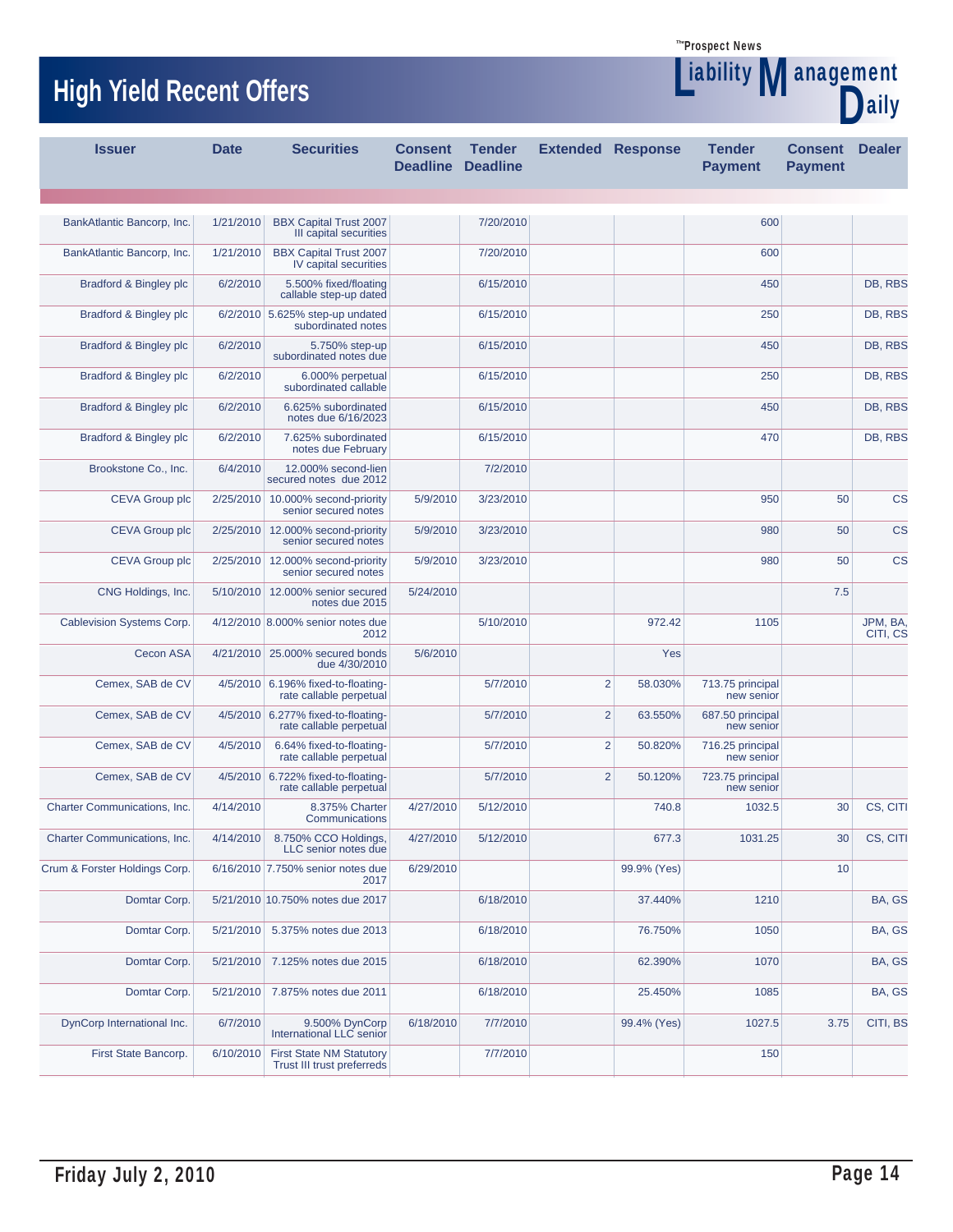Liability

D

# **High Yield Recent Offers Management** Management

| <b>Issuer</b>                 |                       | <b>Date</b> | <b>Securities</b>                                             | <b>Consent</b><br><b>Deadline Deadline</b> | <b>Tender</b> | <b>Extended Response</b> |             | <b>Tender</b><br><b>Payment</b> | <b>Consent</b><br><b>Payment</b> | <b>Dealer</b>        |
|-------------------------------|-----------------------|-------------|---------------------------------------------------------------|--------------------------------------------|---------------|--------------------------|-------------|---------------------------------|----------------------------------|----------------------|
|                               |                       |             |                                                               |                                            |               |                          |             |                                 |                                  |                      |
| BankAtlantic Bancorp, Inc.    |                       | 1/21/2010   | <b>BBX Capital Trust 2007</b><br>III capital securities       |                                            | 7/20/2010     |                          |             | 600                             |                                  |                      |
| BankAtlantic Bancorp, Inc.    |                       | 1/21/2010   | <b>BBX Capital Trust 2007</b><br>IV capital securities        |                                            | 7/20/2010     |                          |             | 600                             |                                  |                      |
| Bradford & Bingley plc        |                       | 6/2/2010    | 5.500% fixed/floating<br>callable step-up dated               |                                            | 6/15/2010     |                          |             | 450                             |                                  | DB, RBS              |
| Bradford & Bingley plc        |                       |             | 6/2/2010 5.625% step-up undated<br>subordinated notes         |                                            | 6/15/2010     |                          |             | 250                             |                                  | DB, RBS              |
| Bradford & Bingley plc        |                       | 6/2/2010    | 5.750% step-up<br>subordinated notes due                      |                                            | 6/15/2010     |                          |             | 450                             |                                  | DB, RBS              |
| Bradford & Bingley plc        |                       | 6/2/2010    | 6.000% perpetual<br>subordinated callable                     |                                            | 6/15/2010     |                          |             | 250                             |                                  | DB, RBS              |
| Bradford & Bingley plc        |                       | 6/2/2010    | 6.625% subordinated<br>notes due 6/16/2023                    |                                            | 6/15/2010     |                          |             | 450                             |                                  | DB, RBS              |
| Bradford & Bingley plc        |                       | 6/2/2010    | 7.625% subordinated<br>notes due February                     |                                            | 6/15/2010     |                          |             | 470                             |                                  | DB, RBS              |
| Brookstone Co., Inc.          |                       | 6/4/2010    | 12.000% second-lien<br>secured notes due 2012                 |                                            | 7/2/2010      |                          |             |                                 |                                  |                      |
|                               | <b>CEVA Group plc</b> |             | 2/25/2010 10.000% second-priority<br>senior secured notes     | 5/9/2010                                   | 3/23/2010     |                          |             | 950                             | 50                               | <b>CS</b>            |
|                               | <b>CEVA Group plc</b> |             | 2/25/2010 12.000% second-priority<br>senior secured notes     | 5/9/2010                                   | 3/23/2010     |                          |             | 980                             | 50                               | <b>CS</b>            |
|                               | <b>CEVA Group plc</b> |             | 2/25/2010 12.000% second-priority<br>senior secured notes     | 5/9/2010                                   | 3/23/2010     |                          |             | 980                             | 50                               | <b>CS</b>            |
|                               | CNG Holdings, Inc.    |             | 5/10/2010 12.000% senior secured<br>notes due 2015            | 5/24/2010                                  |               |                          |             |                                 | 7.5                              |                      |
| Cablevision Systems Corp.     |                       |             | 4/12/2010 8.000% senior notes due<br>2012                     |                                            | 5/10/2010     |                          | 972.42      | 1105                            |                                  | JPM, BA,<br>CITI, CS |
|                               | <b>Cecon ASA</b>      |             | 4/21/2010 25.000% secured bonds<br>due 4/30/2010              | 5/6/2010                                   |               |                          | Yes         |                                 |                                  |                      |
|                               | Cemex, SAB de CV      |             | 4/5/2010 6.196% fixed-to-floating-<br>rate callable perpetual |                                            | 5/7/2010      | $\overline{2}$           | 58.030%     | 713.75 principal<br>new senior  |                                  |                      |
|                               | Cemex, SAB de CV      |             | 4/5/2010 6.277% fixed-to-floating-<br>rate callable perpetual |                                            | 5/7/2010      | $\overline{2}$           | 63.550%     | 687.50 principal<br>new senior  |                                  |                      |
|                               | Cemex, SAB de CV      | 4/5/2010    | 6.64% fixed-to-floating-<br>rate callable perpetual           |                                            | 5/7/2010      | $\overline{2}$           | 50.820%     | 716.25 principal<br>new senior  |                                  |                      |
|                               | Cemex, SAB de CV      |             | 4/5/2010 6.722% fixed-to-floating-<br>rate callable perpetual |                                            | 5/7/2010      | $\overline{2}$           | 50.120%     | 723.75 principal<br>new senior  |                                  |                      |
| Charter Communications, Inc.  |                       | 4/14/2010   | 8.375% Charter<br>Communications                              | 4/27/2010                                  | 5/12/2010     |                          | 740.8       | 1032.5                          | 30                               | CS, CITI             |
| Charter Communications, Inc.  |                       | 4/14/2010   | 8.750% CCO Holdings,<br>LLC senior notes due                  | 4/27/2010                                  | 5/12/2010     |                          | 677.3       | 1031.25                         | 30                               | CS, CITI             |
| Crum & Forster Holdings Corp. |                       |             | 6/16/2010 7.750% senior notes due<br>2017                     | 6/29/2010                                  |               |                          | 99.9% (Yes) |                                 | 10                               |                      |
|                               | Domtar Corp.          |             | 5/21/2010 10.750% notes due 2017                              |                                            | 6/18/2010     |                          | 37.440%     | 1210                            |                                  | BA, GS               |
|                               | Domtar Corp.          | 5/21/2010   | 5.375% notes due 2013                                         |                                            | 6/18/2010     |                          | 76.750%     | 1050                            |                                  | BA, GS               |
|                               | Domtar Corp.          |             | 5/21/2010 7.125% notes due 2015                               |                                            | 6/18/2010     |                          | 62.390%     | 1070                            |                                  | BA, GS               |
|                               | Domtar Corp.          | 5/21/2010   | 7.875% notes due 2011                                         |                                            | 6/18/2010     |                          | 25.450%     | 1085                            |                                  | BA, GS               |
| DynCorp International Inc.    |                       | 6/7/2010    | 9.500% DynCorp<br>International LLC senior                    | 6/18/2010                                  | 7/7/2010      |                          | 99.4% (Yes) | 1027.5                          | 3.75                             | CITI, BS             |
| First State Bancorp.          |                       | 6/10/2010   | <b>First State NM Statutory</b><br>Trust III trust preferreds |                                            | 7/7/2010      |                          |             | 150                             |                                  |                      |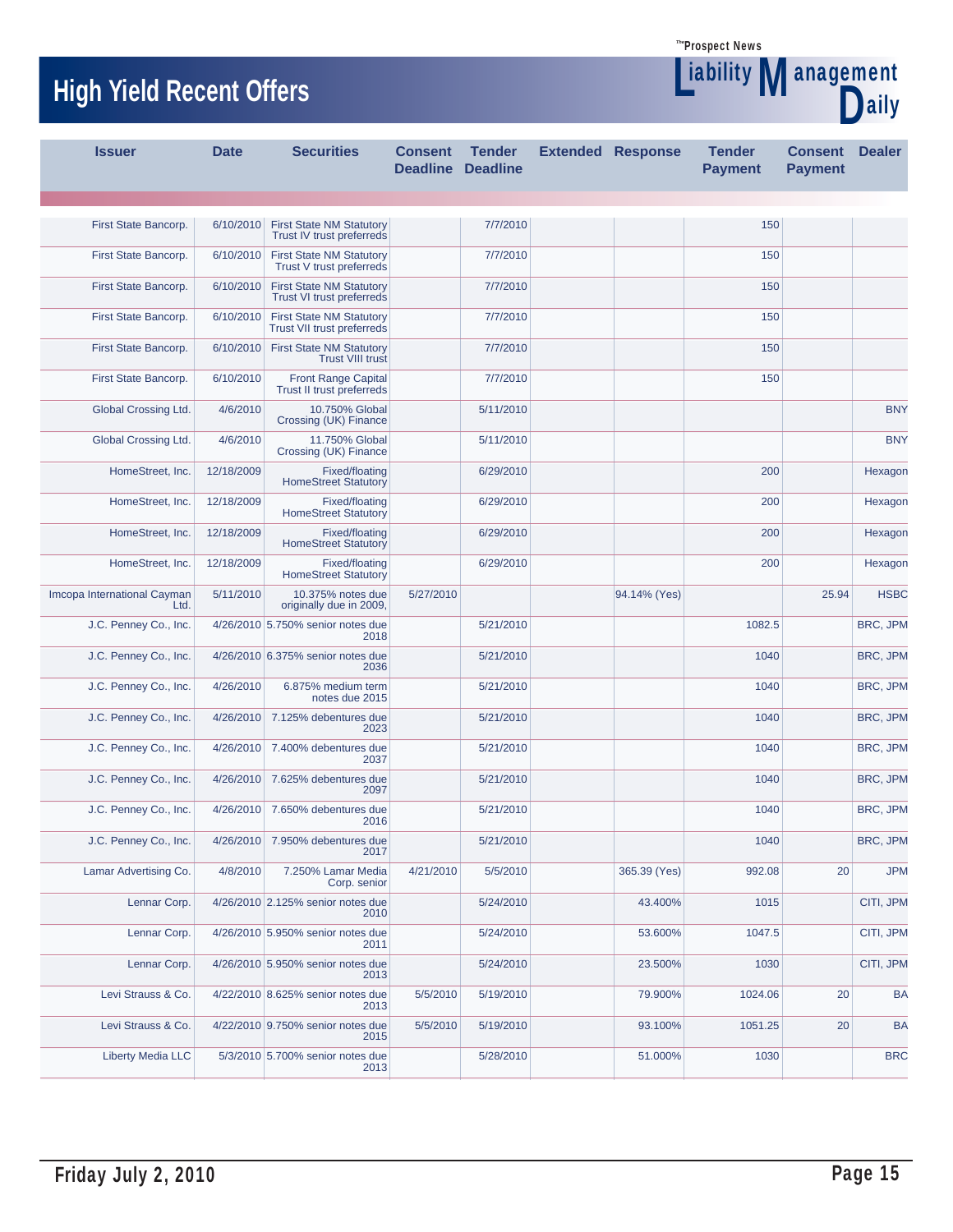



| <b>Issuer</b>                       | <b>Date</b> | <b>Securities</b>                                                   | <b>Consent</b><br><b>Deadline</b> | <b>Tender</b><br><b>Deadline</b> | <b>Extended Response</b> | <b>Tender</b><br><b>Payment</b> | <b>Consent</b><br><b>Payment</b> | <b>Dealer</b> |
|-------------------------------------|-------------|---------------------------------------------------------------------|-----------------------------------|----------------------------------|--------------------------|---------------------------------|----------------------------------|---------------|
|                                     |             |                                                                     |                                   |                                  |                          |                                 |                                  |               |
| First State Bancorp.                | 6/10/2010   | <b>First State NM Statutory</b><br>Trust IV trust preferreds        |                                   | 7/7/2010                         |                          | 150                             |                                  |               |
| First State Bancorp.                | 6/10/2010   | <b>First State NM Statutory</b><br>Trust V trust preferreds         |                                   | 7/7/2010                         |                          | 150                             |                                  |               |
| First State Bancorp.                | 6/10/2010   | <b>First State NM Statutory</b><br><b>Trust VI trust preferreds</b> |                                   | 7/7/2010                         |                          | 150                             |                                  |               |
| First State Bancorp.                | 6/10/2010   | <b>First State NM Statutory</b><br>Trust VII trust preferreds       |                                   | 7/7/2010                         |                          | 150                             |                                  |               |
| First State Bancorp.                | 6/10/2010   | <b>First State NM Statutory</b><br><b>Trust VIII trust</b>          |                                   | 7/7/2010                         |                          | 150                             |                                  |               |
| First State Bancorp.                | 6/10/2010   | Front Range Capital<br>Trust II trust preferreds                    |                                   | 7/7/2010                         |                          | 150                             |                                  |               |
| Global Crossing Ltd.                | 4/6/2010    | 10.750% Global<br>Crossing (UK) Finance                             |                                   | 5/11/2010                        |                          |                                 |                                  | <b>BNY</b>    |
| Global Crossing Ltd.                | 4/6/2010    | 11.750% Global<br>Crossing (UK) Finance                             |                                   | 5/11/2010                        |                          |                                 |                                  | <b>BNY</b>    |
| HomeStreet, Inc.                    | 12/18/2009  | <b>Fixed/floating</b><br><b>HomeStreet Statutory</b>                |                                   | 6/29/2010                        |                          | 200                             |                                  | Hexagon       |
| HomeStreet, Inc.                    | 12/18/2009  | Fixed/floating<br><b>HomeStreet Statutory</b>                       |                                   | 6/29/2010                        |                          | 200                             |                                  | Hexagon       |
| HomeStreet, Inc.                    | 12/18/2009  | Fixed/floating<br><b>HomeStreet Statutory</b>                       |                                   | 6/29/2010                        |                          | 200                             |                                  | Hexagon       |
| HomeStreet, Inc.                    | 12/18/2009  | Fixed/floating<br><b>HomeStreet Statutory</b>                       |                                   | 6/29/2010                        |                          | 200                             |                                  | Hexagon       |
| Imcopa International Cayman<br>Ltd. | 5/11/2010   | 10.375% notes due<br>originally due in 2009,                        | 5/27/2010                         |                                  | 94.14% (Yes)             |                                 | 25.94                            | <b>HSBC</b>   |
| J.C. Penney Co., Inc.               |             | 4/26/2010 5.750% senior notes due<br>2018                           |                                   | 5/21/2010                        |                          | 1082.5                          |                                  | BRC, JPM      |
| J.C. Penney Co., Inc.               |             | 4/26/2010 6.375% senior notes due<br>2036                           |                                   | 5/21/2010                        |                          | 1040                            |                                  | BRC, JPM      |
| J.C. Penney Co., Inc.               | 4/26/2010   | 6.875% medium term<br>notes due 2015                                |                                   | 5/21/2010                        |                          | 1040                            |                                  | BRC, JPM      |
| J.C. Penney Co., Inc.               | 4/26/2010   | 7.125% debentures due<br>2023                                       |                                   | 5/21/2010                        |                          | 1040                            |                                  | BRC, JPM      |
| J.C. Penney Co., Inc.               | 4/26/2010   | 7.400% debentures due<br>2037                                       |                                   | 5/21/2010                        |                          | 1040                            |                                  | BRC, JPM      |
| J.C. Penney Co., Inc.               | 4/26/2010   | 7.625% debentures due<br>2097                                       |                                   | 5/21/2010                        |                          | 1040                            |                                  | BRC, JPM      |
| J.C. Penney Co., Inc.               | 4/26/2010   | 7.650% debentures due<br>2016                                       |                                   | 5/21/2010                        |                          | 1040                            |                                  | BRC, JPM      |
| J.C. Penney Co., Inc.               |             | 4/26/2010 7.950% debentures due<br>2017                             |                                   | 5/21/2010                        |                          | 1040                            |                                  | BRC, JPM      |
| Lamar Advertising Co.               | 4/8/2010    | 7.250% Lamar Media<br>Corp. senior                                  | 4/21/2010                         | 5/5/2010                         | 365.39 (Yes)             | 992.08                          | 20                               | <b>JPM</b>    |
| Lennar Corp.                        |             | 4/26/2010 2.125% senior notes due<br>2010                           |                                   | 5/24/2010                        | 43.400%                  | 1015                            |                                  | CITI, JPM     |
| Lennar Corp.                        |             | 4/26/2010 5.950% senior notes due<br>2011                           |                                   | 5/24/2010                        | 53.600%                  | 1047.5                          |                                  | CITI, JPM     |
| Lennar Corp.                        |             | 4/26/2010 5.950% senior notes due<br>2013                           |                                   | 5/24/2010                        | 23.500%                  | 1030                            |                                  | CITI, JPM     |
| Levi Strauss & Co.                  |             | 4/22/2010 8.625% senior notes due<br>2013                           | 5/5/2010                          | 5/19/2010                        | 79.900%                  | 1024.06                         | 20                               | <b>BA</b>     |
| Levi Strauss & Co.                  |             | 4/22/2010 9.750% senior notes due<br>2015                           | 5/5/2010                          | 5/19/2010                        | 93.100%                  | 1051.25                         | 20                               | <b>BA</b>     |
| <b>Liberty Media LLC</b>            |             | 5/3/2010 5.700% senior notes due<br>2013                            |                                   | 5/28/2010                        | 51.000%                  | 1030                            |                                  | <b>BRC</b>    |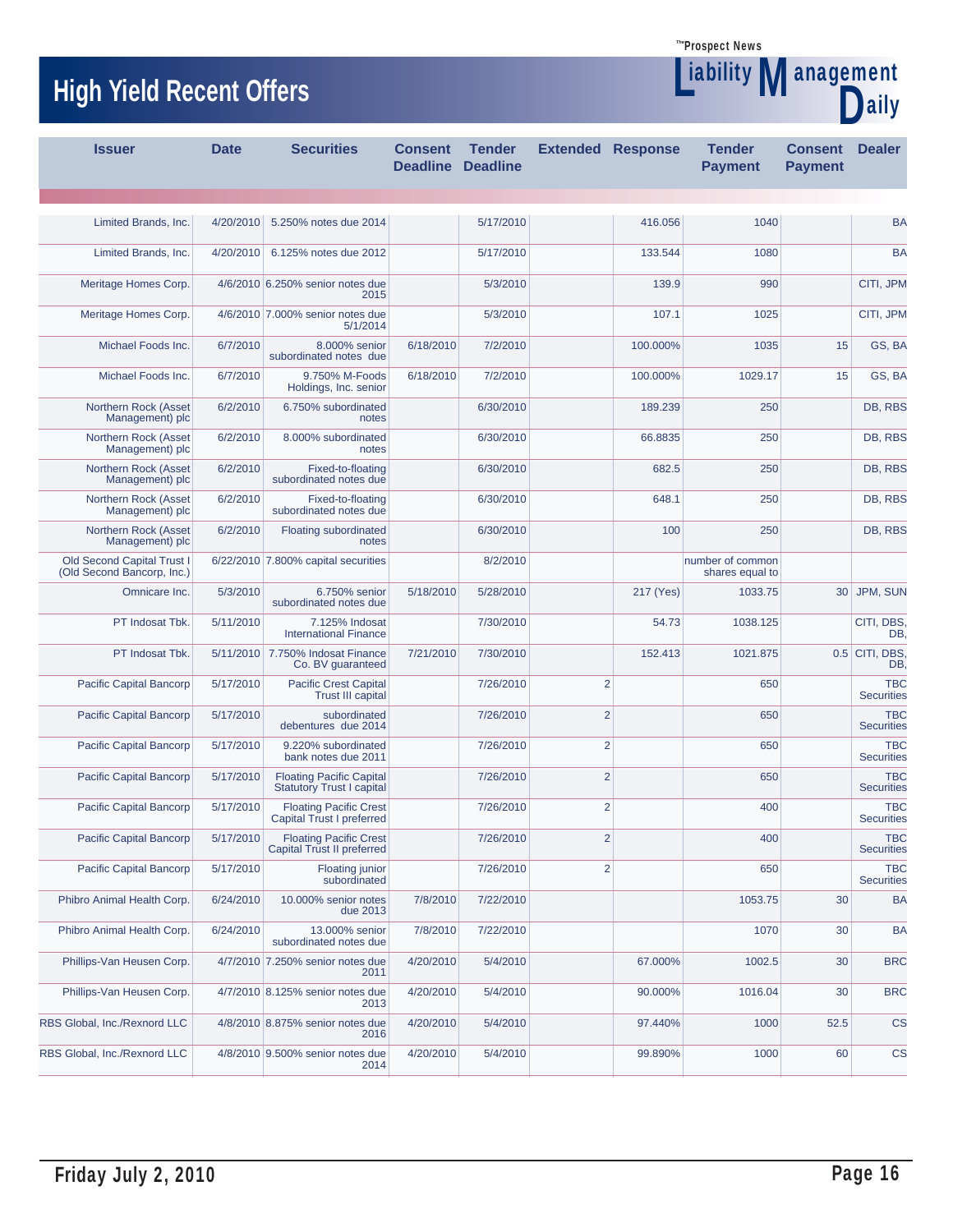Liability

D

**Management** 

# **High Yield Recent Offers All and Section 1.1 The Contract of Temperature of Temperature of Temperature of Temperature of Temperature of Temperature of Temperature of Temperature of Temperature of Temperature of Temperat**

| <b>Issuer</b>                                            | <b>Date</b> | <b>Securities</b>                                                   | <b>Consent</b><br><b>Deadline</b> | <b>Tender</b><br><b>Deadline</b> | <b>Extended Response</b> |           | <b>Tender</b><br><b>Payment</b>     | <b>Consent</b><br><b>Payment</b> | <b>Dealer</b>                   |
|----------------------------------------------------------|-------------|---------------------------------------------------------------------|-----------------------------------|----------------------------------|--------------------------|-----------|-------------------------------------|----------------------------------|---------------------------------|
|                                                          |             |                                                                     |                                   |                                  |                          |           |                                     |                                  |                                 |
| Limited Brands, Inc.                                     | 4/20/2010   | 5.250% notes due 2014                                               |                                   | 5/17/2010                        |                          | 416.056   | 1040                                |                                  | <b>BA</b>                       |
| Limited Brands, Inc.                                     |             | 4/20/2010 6.125% notes due 2012                                     |                                   | 5/17/2010                        |                          | 133.544   | 1080                                |                                  | <b>BA</b>                       |
| Meritage Homes Corp.                                     |             | 4/6/2010 6.250% senior notes due<br>2015                            |                                   | 5/3/2010                         |                          | 139.9     | 990                                 |                                  | CITI, JPM                       |
| Meritage Homes Corp.                                     |             | 4/6/2010 7.000% senior notes due<br>5/1/2014                        |                                   | 5/3/2010                         |                          | 107.1     | 1025                                |                                  | CITI, JPM                       |
| Michael Foods Inc.                                       | 6/7/2010    | 8.000% senior<br>subordinated notes due                             | 6/18/2010                         | 7/2/2010                         |                          | 100.000%  | 1035                                | 15                               | GS, BA                          |
| Michael Foods Inc.                                       | 6/7/2010    | 9.750% M-Foods<br>Holdings, Inc. senior                             | 6/18/2010                         | 7/2/2010                         |                          | 100.000%  | 1029.17                             | 15                               | GS, BA                          |
| Northern Rock (Asset<br>Management) plc                  | 6/2/2010    | 6.750% subordinated<br>notes                                        |                                   | 6/30/2010                        |                          | 189.239   | 250                                 |                                  | DB, RBS                         |
| Northern Rock (Asset<br>Management) plc                  | 6/2/2010    | 8.000% subordinated<br>notes                                        |                                   | 6/30/2010                        |                          | 66.8835   | 250                                 |                                  | DB, RBS                         |
| Northern Rock (Asset<br>Management) plc                  | 6/2/2010    | Fixed-to-floating<br>subordinated notes due                         |                                   | 6/30/2010                        |                          | 682.5     | 250                                 |                                  | DB, RBS                         |
| Northern Rock (Asset<br>Management) plc                  | 6/2/2010    | Fixed-to-floating<br>subordinated notes due                         |                                   | 6/30/2010                        |                          | 648.1     | 250                                 |                                  | DB. RBS                         |
| Northern Rock (Asset<br>Management) plc                  | 6/2/2010    | <b>Floating subordinated</b><br>notes                               |                                   | 6/30/2010                        |                          | 100       | 250                                 |                                  | DB, RBS                         |
| Old Second Capital Trust I<br>(Old Second Bancorp, Inc.) |             | 6/22/2010 7.800% capital securities                                 |                                   | 8/2/2010                         |                          |           | number of common<br>shares equal to |                                  |                                 |
| Omnicare Inc.                                            | 5/3/2010    | 6.750% senior<br>subordinated notes due                             | 5/18/2010                         | 5/28/2010                        |                          | 217 (Yes) | 1033.75                             |                                  | 30 JPM, SUN                     |
| PT Indosat Tbk.                                          | 5/11/2010   | 7.125% Indosat<br><b>International Finance</b>                      |                                   | 7/30/2010                        |                          | 54.73     | 1038.125                            |                                  | CITI, DBS<br>DB.                |
| PT Indosat Tbk.                                          |             | 5/11/2010 7.750% Indosat Finance<br>Co. BV guaranteed               | 7/21/2010                         | 7/30/2010                        |                          | 152.413   | 1021.875                            |                                  | $0.5$ CITI, DBS,<br>DB.         |
| Pacific Capital Bancorp                                  | 5/17/2010   | <b>Pacific Crest Capital</b><br><b>Trust III capital</b>            |                                   | 7/26/2010                        | $\overline{2}$           |           | 650                                 |                                  | <b>TBC</b><br><b>Securities</b> |
| Pacific Capital Bancorp                                  | 5/17/2010   | subordinated<br>debentures due 2014                                 |                                   | 7/26/2010                        | $\overline{2}$           |           | 650                                 |                                  | <b>TBC</b><br><b>Securities</b> |
| Pacific Capital Bancorp                                  | 5/17/2010   | 9.220% subordinated<br>bank notes due 2011                          |                                   | 7/26/2010                        | $\overline{2}$           |           | 650                                 |                                  | <b>TBC</b><br><b>Securities</b> |
| Pacific Capital Bancorp                                  | 5/17/2010   | <b>Floating Pacific Capital</b><br><b>Statutory Trust I capital</b> |                                   | 7/26/2010                        | $\overline{2}$           |           | 650                                 |                                  | <b>TBC</b><br><b>Securities</b> |
| Pacific Capital Bancorp                                  | 5/17/2010   | <b>Floating Pacific Crest</b><br>Capital Trust I preferred          |                                   | 7/26/2010                        | $\overline{2}$           |           | 400                                 |                                  | <b>TBC</b><br><b>Securities</b> |
| <b>Pacific Capital Bancorp</b>                           | 5/17/2010   | <b>Floating Pacific Crest</b><br>Capital Trust II preferred         |                                   | 7/26/2010                        | $\overline{2}$           |           | 400                                 |                                  | <b>TBC</b><br><b>Securities</b> |
| Pacific Capital Bancorp                                  | 5/17/2010   | <b>Floating junior</b><br>subordinated                              |                                   | 7/26/2010                        | $\overline{2}$           |           | 650                                 |                                  | <b>TBC</b><br><b>Securities</b> |
| Phibro Animal Health Corp.                               | 6/24/2010   | 10.000% senior notes<br>due 2013                                    | 7/8/2010                          | 7/22/2010                        |                          |           | 1053.75                             | 30                               | <b>BA</b>                       |
| Phibro Animal Health Corp.                               | 6/24/2010   | 13.000% senior<br>subordinated notes due                            | 7/8/2010                          | 7/22/2010                        |                          |           | 1070                                | 30                               | <b>BA</b>                       |
| Phillips-Van Heusen Corp.                                |             | 4/7/2010 7.250% senior notes due<br>2011                            | 4/20/2010                         | 5/4/2010                         |                          | 67.000%   | 1002.5                              | 30                               | <b>BRC</b>                      |
| Phillips-Van Heusen Corp.                                |             | 4/7/2010 8.125% senior notes due<br>2013                            | 4/20/2010                         | 5/4/2010                         |                          | 90.000%   | 1016.04                             | 30                               | <b>BRC</b>                      |
| RBS Global, Inc./Rexnord LLC                             |             | 4/8/2010 8.875% senior notes due<br>2016                            | 4/20/2010                         | 5/4/2010                         |                          | 97.440%   | 1000                                | 52.5                             | <b>CS</b>                       |
| RBS Global, Inc./Rexnord LLC                             |             | 4/8/2010 9.500% senior notes due<br>2014                            | 4/20/2010                         | 5/4/2010                         |                          | 99.890%   | 1000                                | 60                               | <b>CS</b>                       |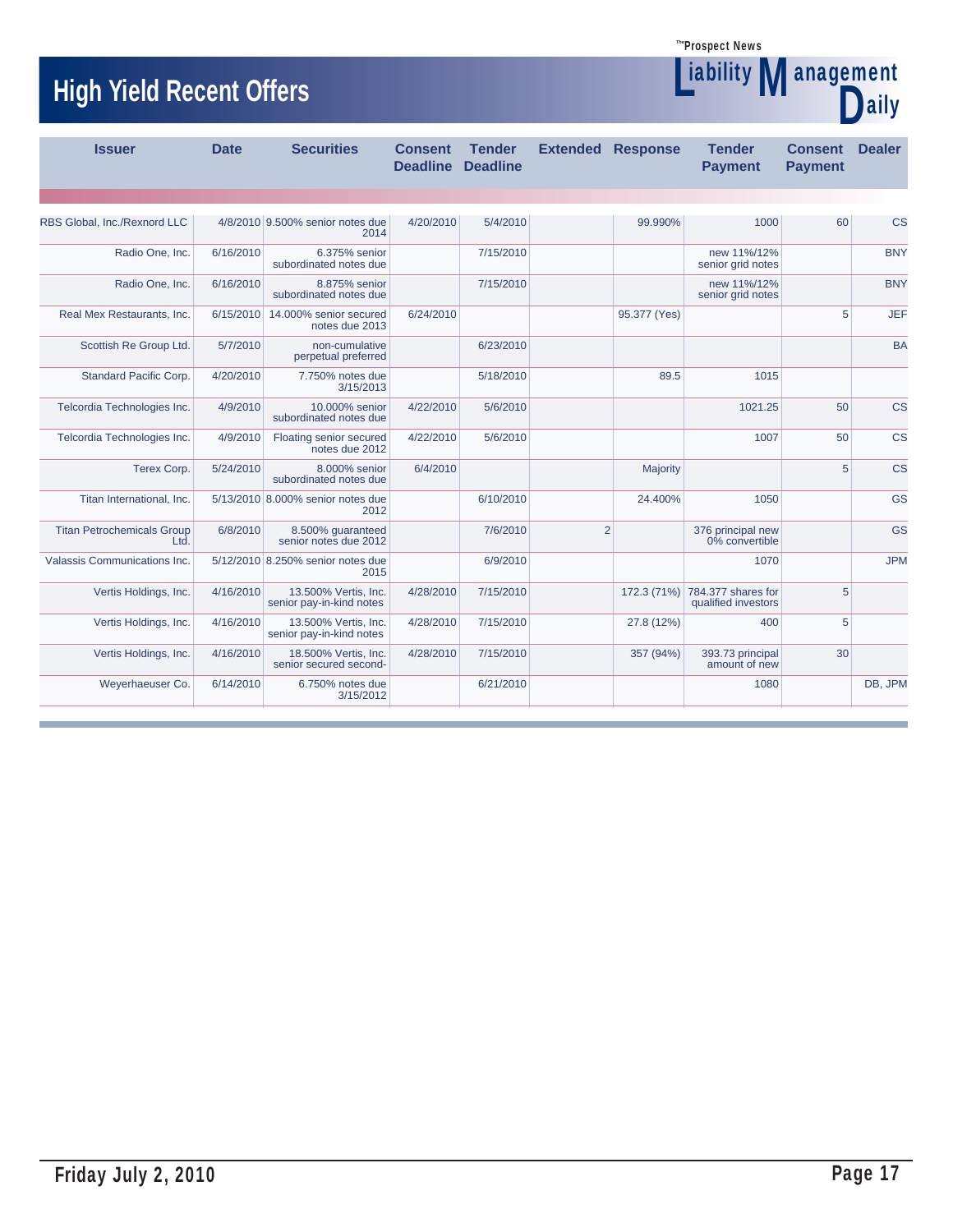Liability

# **High Yield Recent Offers Management** Management

| <b>THALL LIGIN HARVIII AIINIA</b>         |             |                                                  |                                   |                                  |                |                          |                                                       |                                  | laily         |
|-------------------------------------------|-------------|--------------------------------------------------|-----------------------------------|----------------------------------|----------------|--------------------------|-------------------------------------------------------|----------------------------------|---------------|
| <b>Issuer</b>                             | <b>Date</b> | <b>Securities</b>                                | <b>Consent</b><br><b>Deadline</b> | <b>Tender</b><br><b>Deadline</b> |                | <b>Extended Response</b> | <b>Tender</b><br><b>Payment</b>                       | <b>Consent</b><br><b>Payment</b> | <b>Dealer</b> |
|                                           |             |                                                  |                                   |                                  |                |                          |                                                       |                                  |               |
| RBS Global, Inc./Rexnord LLC              |             | 4/8/2010 9.500% senior notes due<br>2014         | 4/20/2010                         | 5/4/2010                         |                | 99.990%                  | 1000                                                  | 60                               | <b>CS</b>     |
| Radio One, Inc.                           | 6/16/2010   | 6.375% senior<br>subordinated notes due          |                                   | 7/15/2010                        |                |                          | new 11%/12%<br>senior grid notes                      |                                  | <b>BNY</b>    |
| Radio One, Inc.                           | 6/16/2010   | 8.875% senior<br>subordinated notes due          |                                   | 7/15/2010                        |                |                          | new 11%/12%<br>senior grid notes                      |                                  | <b>BNY</b>    |
| Real Mex Restaurants, Inc.                | 6/15/2010   | 14.000% senior secured<br>notes due 2013         | 6/24/2010                         |                                  |                | 95.377 (Yes)             |                                                       | 5                                | JEF           |
| Scottish Re Group Ltd.                    | 5/7/2010    | non-cumulative<br>perpetual preferred            |                                   | 6/23/2010                        |                |                          |                                                       |                                  | <b>BA</b>     |
| <b>Standard Pacific Corp.</b>             | 4/20/2010   | 7.750% notes due<br>3/15/2013                    |                                   | 5/18/2010                        |                | 89.5                     | 1015                                                  |                                  |               |
| Telcordia Technologies Inc.               | 4/9/2010    | 10,000% senior<br>subordinated notes due         | 4/22/2010                         | 5/6/2010                         |                |                          | 1021.25                                               | 50                               | <b>CS</b>     |
| Telcordia Technologies Inc.               | 4/9/2010    | Floating senior secured<br>notes due 2012        | 4/22/2010                         | 5/6/2010                         |                |                          | 1007                                                  | 50                               | <b>CS</b>     |
| Terex Corp.                               | 5/24/2010   | 8.000% senior<br>subordinated notes due          | 6/4/2010                          |                                  |                | Majority                 |                                                       | 5                                | <b>CS</b>     |
| Titan International, Inc.                 |             | 5/13/2010 8.000% senior notes due<br>2012        |                                   | 6/10/2010                        |                | 24.400%                  | 1050                                                  |                                  | GS            |
| <b>Titan Petrochemicals Group</b><br>Ltd. | 6/8/2010    | 8.500% guaranteed<br>senior notes due 2012       |                                   | 7/6/2010                         | $\overline{2}$ |                          | 376 principal new<br>0% convertible                   |                                  | GS            |
| Valassis Communications Inc.              |             | 5/12/2010 8.250% senior notes due<br>2015        |                                   | 6/9/2010                         |                |                          | 1070                                                  |                                  | <b>JPM</b>    |
| Vertis Holdings, Inc.                     | 4/16/2010   | 13.500% Vertis, Inc.<br>senior pay-in-kind notes | 4/28/2010                         | 7/15/2010                        |                |                          | 172.3 (71%) 784.377 shares for<br>qualified investors | 5                                |               |
| Vertis Holdings, Inc.                     | 4/16/2010   | 13.500% Vertis, Inc.<br>senior pay-in-kind notes | 4/28/2010                         | 7/15/2010                        |                | 27.8 (12%)               | 400                                                   | 5                                |               |
| Vertis Holdings, Inc.                     | 4/16/2010   | 18.500% Vertis, Inc.<br>senior secured second-   | 4/28/2010                         | 7/15/2010                        |                | 357 (94%)                | 393.73 principal<br>amount of new                     | 30                               |               |
| Weyerhaeuser Co.                          | 6/14/2010   | 6.750% notes due<br>3/15/2012                    |                                   | 6/21/2010                        |                |                          | 1080                                                  |                                  | DB, JPM       |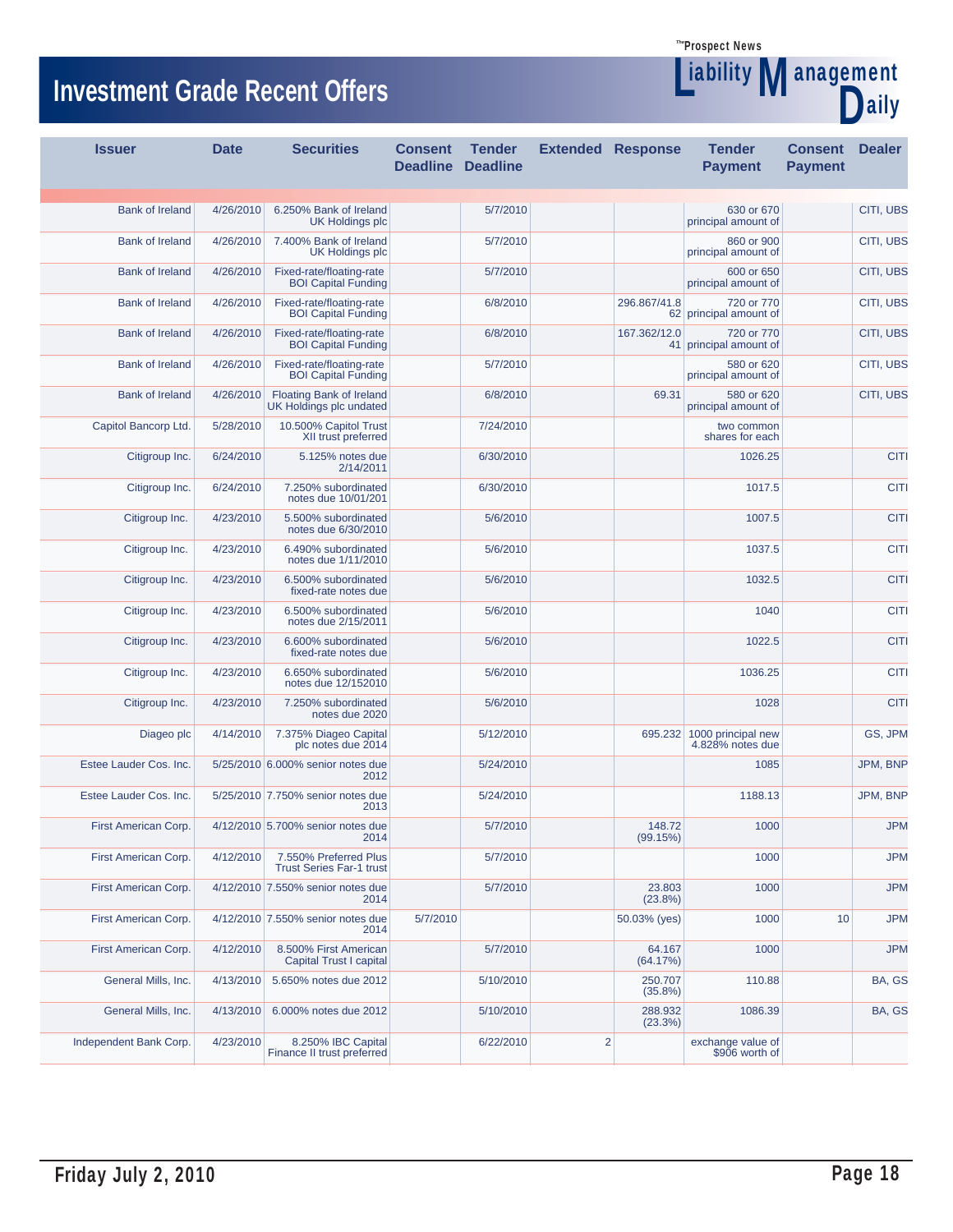**Liability Management** 

aily

# **Investment Grade Recent Offers**

| <b>Issuer</b>          | <b>Date</b> | <b>Securities</b>                                        | <b>Consent</b><br><b>Deadline</b> | <b>Tender</b><br><b>Deadline</b> | <b>Extended Response</b> |                       | <b>Tender</b><br><b>Payment</b>                | <b>Consent</b><br><b>Payment</b> | <b>Dealer</b> |
|------------------------|-------------|----------------------------------------------------------|-----------------------------------|----------------------------------|--------------------------|-----------------------|------------------------------------------------|----------------------------------|---------------|
|                        |             |                                                          |                                   |                                  |                          |                       |                                                |                                  |               |
| <b>Bank of Ireland</b> | 4/26/2010   | 6.250% Bank of Ireland<br><b>UK Holdings plc</b>         |                                   | 5/7/2010                         |                          |                       | 630 or 670<br>principal amount of              |                                  | CITI, UBS     |
| <b>Bank of Ireland</b> | 4/26/2010   | 7.400% Bank of Ireland<br><b>UK Holdings plc</b>         |                                   | 5/7/2010                         |                          |                       | 860 or 900<br>principal amount of              |                                  | CITI, UBS     |
| <b>Bank of Ireland</b> | 4/26/2010   | Fixed-rate/floating-rate<br><b>BOI Capital Funding</b>   |                                   | 5/7/2010                         |                          |                       | 600 or 650<br>principal amount of              |                                  | CITI, UBS     |
| <b>Bank of Ireland</b> | 4/26/2010   | Fixed-rate/floating-rate<br><b>BOI Capital Funding</b>   |                                   | 6/8/2010                         |                          | 296.867/41.8          | 720 or 770<br>62 principal amount of           |                                  | CITI, UBS     |
| <b>Bank of Ireland</b> | 4/26/2010   | Fixed-rate/floating-rate<br><b>BOI Capital Funding</b>   |                                   | 6/8/2010                         |                          | 167.362/12.0          | 720 or 770<br>41 principal amount of           |                                  | CITI, UBS     |
| <b>Bank of Ireland</b> | 4/26/2010   | Fixed-rate/floating-rate<br><b>BOI Capital Funding</b>   |                                   | 5/7/2010                         |                          |                       | 580 or 620<br>principal amount of              |                                  | CITI, UBS     |
| <b>Bank of Ireland</b> | 4/26/2010   | Floating Bank of Ireland<br>UK Holdings plc undated      |                                   | 6/8/2010                         |                          | 69.31                 | 580 or 620<br>principal amount of              |                                  | CITI, UBS     |
| Capitol Bancorp Ltd.   | 5/28/2010   | 10.500% Capitol Trust<br>XII trust preferred             |                                   | 7/24/2010                        |                          |                       | two common<br>shares for each                  |                                  |               |
| Citigroup Inc.         | 6/24/2010   | 5.125% notes due<br>2/14/2011                            |                                   | 6/30/2010                        |                          |                       | 1026.25                                        |                                  | <b>CITI</b>   |
| Citigroup Inc.         | 6/24/2010   | 7.250% subordinated<br>notes due 10/01/201               |                                   | 6/30/2010                        |                          |                       | 1017.5                                         |                                  | <b>CITI</b>   |
| Citigroup Inc.         | 4/23/2010   | 5.500% subordinated<br>notes due 6/30/2010               |                                   | 5/6/2010                         |                          |                       | 1007.5                                         |                                  | <b>CITI</b>   |
| Citigroup Inc.         | 4/23/2010   | 6.490% subordinated<br>notes due 1/11/2010               |                                   | 5/6/2010                         |                          |                       | 1037.5                                         |                                  | <b>CITI</b>   |
| Citigroup Inc.         | 4/23/2010   | 6.500% subordinated<br>fixed-rate notes due              |                                   | 5/6/2010                         |                          |                       | 1032.5                                         |                                  | <b>CITI</b>   |
| Citigroup Inc.         | 4/23/2010   | 6.500% subordinated<br>notes due 2/15/2011               |                                   | 5/6/2010                         |                          |                       | 1040                                           |                                  | <b>CITI</b>   |
| Citigroup Inc.         | 4/23/2010   | 6.600% subordinated<br>fixed-rate notes due              |                                   | 5/6/2010                         |                          |                       | 1022.5                                         |                                  | <b>CITI</b>   |
| Citigroup Inc.         | 4/23/2010   | 6.650% subordinated<br>notes due 12/152010               |                                   | 5/6/2010                         |                          |                       | 1036.25                                        |                                  | <b>CITI</b>   |
| Citigroup Inc.         | 4/23/2010   | 7.250% subordinated<br>notes due 2020                    |                                   | 5/6/2010                         |                          |                       | 1028                                           |                                  | <b>CITI</b>   |
| Diageo plc             | 4/14/2010   | 7.375% Diageo Capital<br>plc notes due 2014              |                                   | 5/12/2010                        |                          |                       | 695.232 1000 principal new<br>4.828% notes due |                                  | GS, JPM       |
| Estee Lauder Cos. Inc. |             | 5/25/2010 6.000% senior notes due<br>2012                |                                   | 5/24/2010                        |                          |                       | 1085                                           |                                  | JPM, BNP      |
| Estee Lauder Cos. Inc. |             | 5/25/2010 7.750% senior notes due<br>2013                |                                   | 5/24/2010                        |                          |                       | 1188.13                                        |                                  | JPM, BNP      |
| First American Corp.   |             | 4/12/2010 5.700% senior notes due<br>2014                |                                   | 5/7/2010                         |                          | 148.72<br>(99.15%)    | 1000                                           |                                  | <b>JPM</b>    |
| First American Corp.   | 4/12/2010   | 7.550% Preferred Plus<br><b>Trust Series Far-1 trust</b> |                                   | 5/7/2010                         |                          |                       | 1000                                           |                                  | <b>JPM</b>    |
| First American Corp.   |             | 4/12/2010 7.550% senior notes due<br>2014                |                                   | 5/7/2010                         |                          | 23.803<br>(23.8%)     | 1000                                           |                                  | <b>JPM</b>    |
| First American Corp.   |             | 4/12/2010 7.550% senior notes due<br>2014                | 5/7/2010                          |                                  |                          | 50.03% (yes)          | 1000                                           | 10                               | <b>JPM</b>    |
| First American Corp.   | 4/12/2010   | 8.500% First American<br><b>Capital Trust I capital</b>  |                                   | 5/7/2010                         |                          | 64.167<br>(64.17%)    | 1000                                           |                                  | <b>JPM</b>    |
| General Mills, Inc.    | 4/13/2010   | 5.650% notes due 2012                                    |                                   | 5/10/2010                        |                          | 250.707<br>$(35.8\%)$ | 110.88                                         |                                  | BA, GS        |
| General Mills, Inc.    | 4/13/2010   | 6.000% notes due 2012                                    |                                   | 5/10/2010                        |                          | 288.932<br>(23.3%)    | 1086.39                                        |                                  | BA, GS        |
| Independent Bank Corp. | 4/23/2010   | 8.250% IBC Capital<br>Finance II trust preferred         |                                   | 6/22/2010                        | $\overline{2}$           |                       | exchange value of<br>\$906 worth of            |                                  |               |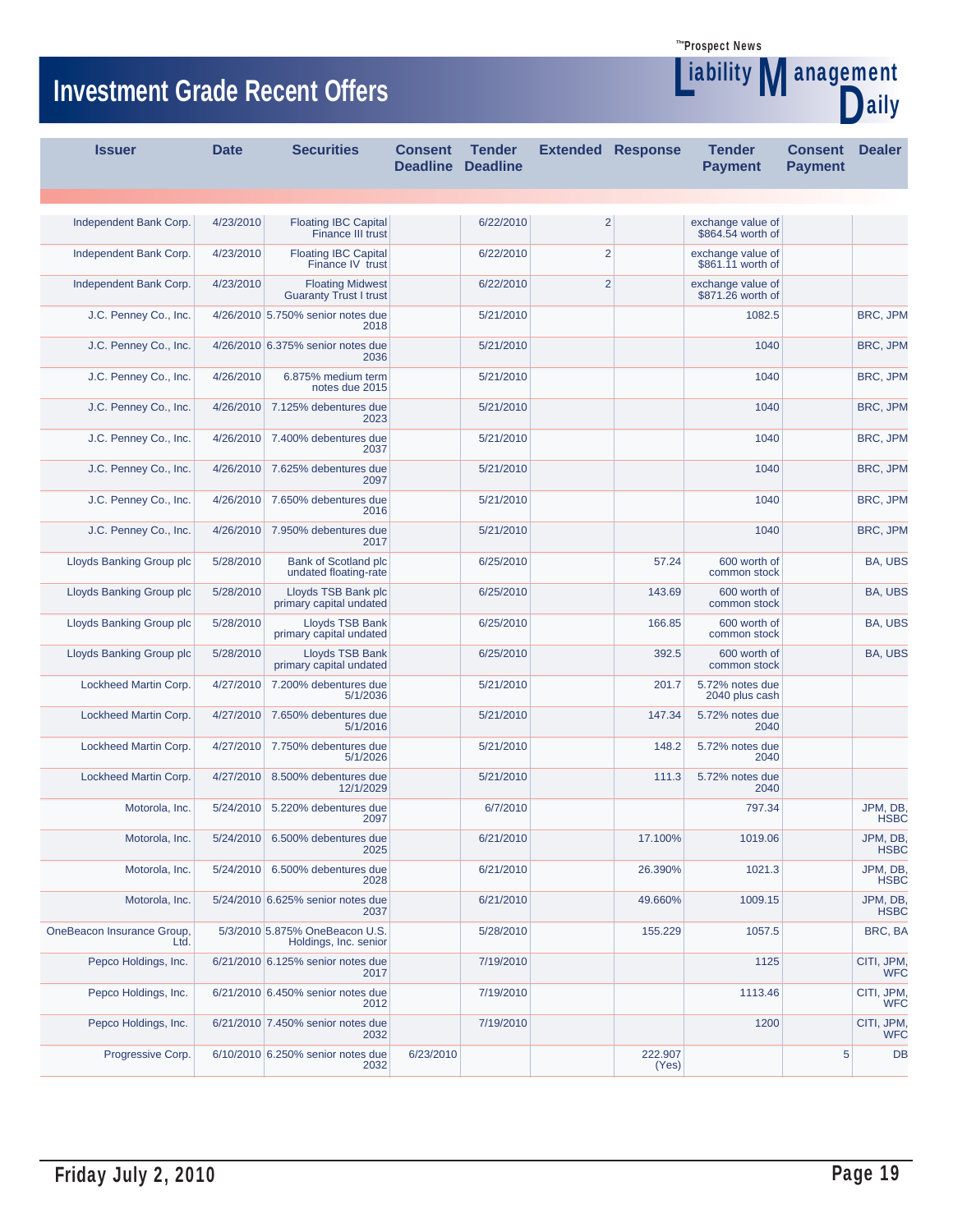**Liability Management** 

aily

# **Investment Grade Recent Offers**

| <b>Issuer</b>                      | <b>Date</b> | <b>Securities</b>                                        | <b>Consent</b><br><b>Deadline</b> | <b>Tender</b><br><b>Deadline</b> | <b>Extended Response</b> |                  | <b>Tender</b><br><b>Payment</b>        | <b>Consent</b><br><b>Payment</b> | <b>Dealer</b>            |
|------------------------------------|-------------|----------------------------------------------------------|-----------------------------------|----------------------------------|--------------------------|------------------|----------------------------------------|----------------------------------|--------------------------|
|                                    |             |                                                          |                                   |                                  |                          |                  |                                        |                                  |                          |
| Independent Bank Corp.             | 4/23/2010   | <b>Floating IBC Capital</b><br>Finance III trust         |                                   | 6/22/2010                        | $\overline{2}$           |                  | exchange value of<br>\$864.54 worth of |                                  |                          |
| Independent Bank Corp.             | 4/23/2010   | <b>Floating IBC Capital</b><br>Finance IV trust          |                                   | 6/22/2010                        | $\overline{2}$           |                  | exchange value of<br>\$861.11 worth of |                                  |                          |
| Independent Bank Corp.             | 4/23/2010   | <b>Floating Midwest</b><br><b>Guaranty Trust I trust</b> |                                   | 6/22/2010                        | $\overline{2}$           |                  | exchange value of<br>\$871.26 worth of |                                  |                          |
| J.C. Penney Co., Inc.              |             | 4/26/2010 5.750% senior notes due<br>2018                |                                   | 5/21/2010                        |                          |                  | 1082.5                                 |                                  | BRC, JPM                 |
| J.C. Penney Co., Inc.              |             | 4/26/2010 6.375% senior notes due<br>2036                |                                   | 5/21/2010                        |                          |                  | 1040                                   |                                  | <b>BRC, JPM</b>          |
| J.C. Penney Co., Inc.              | 4/26/2010   | 6.875% medium term<br>notes due 2015                     |                                   | 5/21/2010                        |                          |                  | 1040                                   |                                  | BRC, JPM                 |
| J.C. Penney Co., Inc.              | 4/26/2010   | 7.125% debentures due<br>2023                            |                                   | 5/21/2010                        |                          |                  | 1040                                   |                                  | BRC, JPM                 |
| J.C. Penney Co., Inc.              | 4/26/2010   | 7.400% debentures due<br>2037                            |                                   | 5/21/2010                        |                          |                  | 1040                                   |                                  | BRC, JPM                 |
| J.C. Penney Co., Inc.              | 4/26/2010   | 7.625% debentures due<br>2097                            |                                   | 5/21/2010                        |                          |                  | 1040                                   |                                  | BRC, JPM                 |
| J.C. Penney Co., Inc.              | 4/26/2010   | 7.650% debentures due<br>2016                            |                                   | 5/21/2010                        |                          |                  | 1040                                   |                                  | BRC, JPM                 |
| J.C. Penney Co., Inc.              | 4/26/2010   | 7.950% debentures due<br>2017                            |                                   | 5/21/2010                        |                          |                  | 1040                                   |                                  | BRC, JPM                 |
| Lloyds Banking Group plc           | 5/28/2010   | Bank of Scotland plc<br>undated floating-rate            |                                   | 6/25/2010                        |                          | 57.24            | 600 worth of<br>common stock           |                                  | BA, UBS                  |
| Lloyds Banking Group plc           | 5/28/2010   | Lloyds TSB Bank plc<br>primary capital undated           |                                   | 6/25/2010                        |                          | 143.69           | 600 worth of<br>common stock           |                                  | <b>BA, UBS</b>           |
| Lloyds Banking Group plc           | 5/28/2010   | Lloyds TSB Bank<br>primary capital undated               |                                   | 6/25/2010                        |                          | 166.85           | 600 worth of<br>common stock           |                                  | BA, UBS                  |
| Lloyds Banking Group plc           | 5/28/2010   | Lloyds TSB Bank<br>primary capital undated               |                                   | 6/25/2010                        |                          | 392.5            | 600 worth of<br>common stock           |                                  | BA, UBS                  |
| Lockheed Martin Corp.              | 4/27/2010   | 7.200% debentures due<br>5/1/2036                        |                                   | 5/21/2010                        |                          | 201.7            | 5.72% notes due<br>2040 plus cash      |                                  |                          |
| Lockheed Martin Corp.              | 4/27/2010   | 7.650% debentures due<br>5/1/2016                        |                                   | 5/21/2010                        |                          | 147.34           | 5.72% notes due<br>2040                |                                  |                          |
| Lockheed Martin Corp.              | 4/27/2010   | 7.750% debentures due<br>5/1/2026                        |                                   | 5/21/2010                        |                          | 148.2            | 5.72% notes due<br>2040                |                                  |                          |
| Lockheed Martin Corp.              | 4/27/2010   | 8.500% debentures due<br>12/1/2029                       |                                   | 5/21/2010                        |                          | 111.3            | 5.72% notes due<br>2040                |                                  |                          |
| Motorola, Inc.                     | 5/24/2010   | 5.220% debentures due<br>2097                            |                                   | 6/7/2010                         |                          |                  | 797.34                                 |                                  | JPM, DB<br><b>HSBC</b>   |
| Motorola, Inc.                     |             | 5/24/2010 6.500% debentures due<br>2025                  |                                   | 6/21/2010                        |                          | 17.100%          | 1019.06                                |                                  | JPM, DB,<br><b>HSBC</b>  |
| Motorola, Inc.                     |             | 5/24/2010 6.500% debentures due<br>2028                  |                                   | 6/21/2010                        |                          | 26.390%          | 1021.3                                 |                                  | JPM, DB,<br><b>HSBC</b>  |
| Motorola, Inc.                     |             | 5/24/2010 6.625% senior notes due<br>2037                |                                   | 6/21/2010                        |                          | 49.660%          | 1009.15                                |                                  | JPM, DB,<br><b>HSBC</b>  |
| OneBeacon Insurance Group,<br>Ltd. |             | 5/3/2010 5.875% OneBeacon U.S.<br>Holdings, Inc. senior  |                                   | 5/28/2010                        |                          | 155.229          | 1057.5                                 |                                  | BRC, BA                  |
| Pepco Holdings, Inc.               |             | 6/21/2010 6.125% senior notes due<br>2017                |                                   | 7/19/2010                        |                          |                  | 1125                                   |                                  | CITI, JPM,<br><b>WFC</b> |
| Pepco Holdings, Inc.               |             | 6/21/2010 6.450% senior notes due<br>2012                |                                   | 7/19/2010                        |                          |                  | 1113.46                                |                                  | CITI, JPM,<br><b>WFC</b> |
| Pepco Holdings, Inc.               |             | 6/21/2010 7.450% senior notes due<br>2032                |                                   | 7/19/2010                        |                          |                  | 1200                                   |                                  | CITI, JPM,<br>WFC        |
| Progressive Corp.                  |             | 6/10/2010 6.250% senior notes due<br>2032                | 6/23/2010                         |                                  |                          | 222.907<br>(Yes) |                                        | 5                                | DB                       |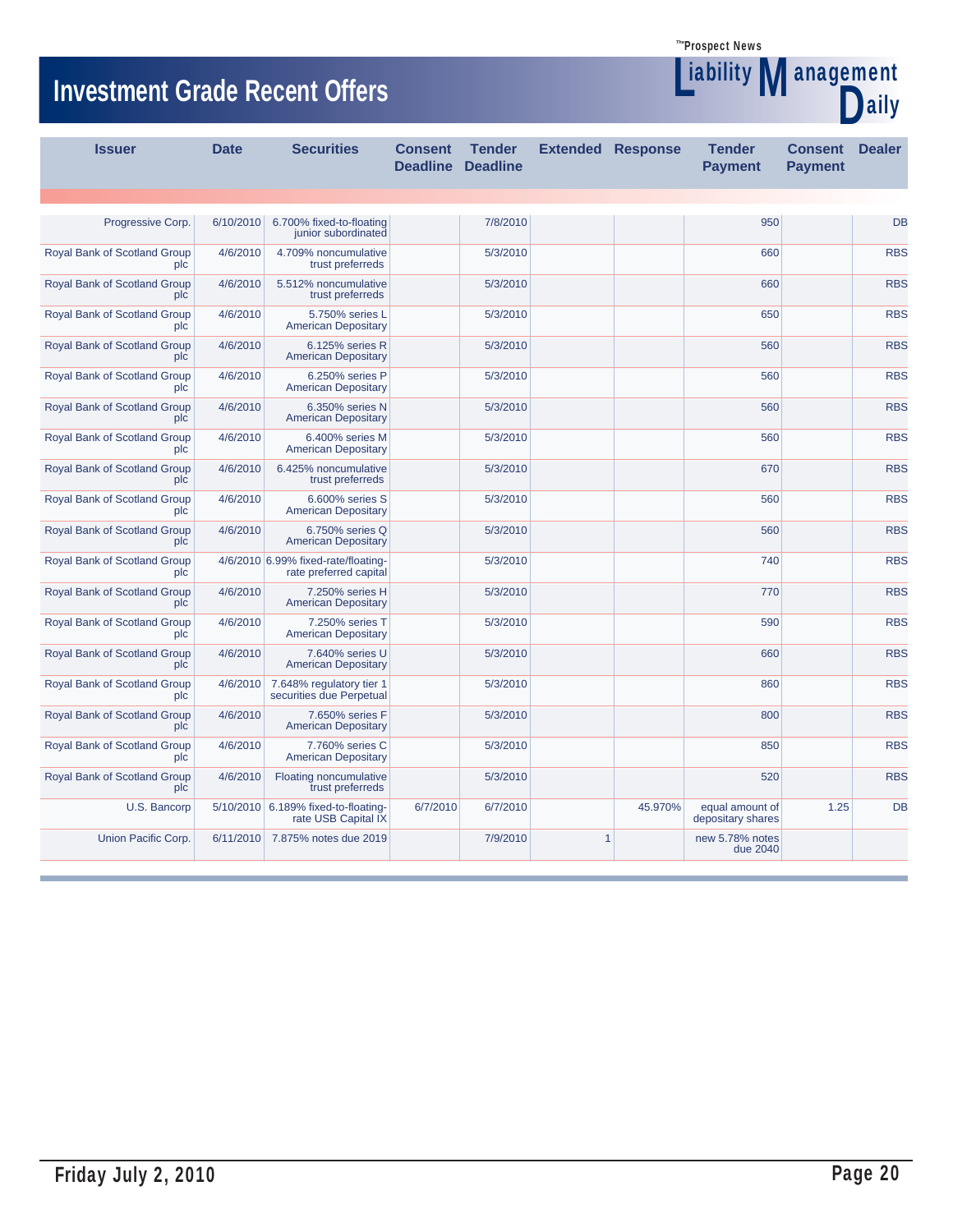**Liability Management** 

aily

# **Investment Grade Recent Offers**

| <b>Issuer</b>                       | <b>Date</b> | <b>Securities</b>                                             | <b>Consent</b><br><b>Deadline</b> | <b>Tender</b><br><b>Deadline</b> |              | <b>Extended Response</b> | <b>Tender</b><br><b>Payment</b>      | <b>Consent</b><br><b>Payment</b> | <b>Dealer</b> |
|-------------------------------------|-------------|---------------------------------------------------------------|-----------------------------------|----------------------------------|--------------|--------------------------|--------------------------------------|----------------------------------|---------------|
|                                     |             |                                                               |                                   |                                  |              |                          |                                      |                                  |               |
| Progressive Corp.                   | 6/10/2010   | 6.700% fixed-to-floating<br>junior subordinated               |                                   | 7/8/2010                         |              |                          | 950                                  |                                  | DB            |
| Royal Bank of Scotland Group<br>plc | 4/6/2010    | 4.709% noncumulative<br>trust preferreds                      |                                   | 5/3/2010                         |              |                          | 660                                  |                                  | <b>RBS</b>    |
| Royal Bank of Scotland Group<br>plc | 4/6/2010    | 5.512% noncumulative<br>trust preferreds                      |                                   | 5/3/2010                         |              |                          | 660                                  |                                  | <b>RBS</b>    |
| Royal Bank of Scotland Group<br>plc | 4/6/2010    | 5.750% series L<br><b>American Depositary</b>                 |                                   | 5/3/2010                         |              |                          | 650                                  |                                  | <b>RBS</b>    |
| Royal Bank of Scotland Group<br>plc | 4/6/2010    | 6.125% series R<br><b>American Depositary</b>                 |                                   | 5/3/2010                         |              |                          | 560                                  |                                  | <b>RBS</b>    |
| Royal Bank of Scotland Group<br>plc | 4/6/2010    | 6.250% series P<br><b>American Depositary</b>                 |                                   | 5/3/2010                         |              |                          | 560                                  |                                  | <b>RBS</b>    |
| Royal Bank of Scotland Group<br>plc | 4/6/2010    | 6.350% series N<br><b>American Depositary</b>                 |                                   | 5/3/2010                         |              |                          | 560                                  |                                  | <b>RBS</b>    |
| Royal Bank of Scotland Group<br>plc | 4/6/2010    | 6.400% series M<br><b>American Depositary</b>                 |                                   | 5/3/2010                         |              |                          | 560                                  |                                  | <b>RBS</b>    |
| Royal Bank of Scotland Group<br>plc | 4/6/2010    | 6.425% noncumulative<br>trust preferreds                      |                                   | 5/3/2010                         |              |                          | 670                                  |                                  | <b>RBS</b>    |
| Royal Bank of Scotland Group<br>plc | 4/6/2010    | 6.600% series S<br><b>American Depositary</b>                 |                                   | 5/3/2010                         |              |                          | 560                                  |                                  | <b>RBS</b>    |
| Royal Bank of Scotland Group<br>plc | 4/6/2010    | 6.750% series Q<br><b>American Depositary</b>                 |                                   | 5/3/2010                         |              |                          | 560                                  |                                  | <b>RBS</b>    |
| Royal Bank of Scotland Group<br>plc |             | 4/6/2010 6.99% fixed-rate/floating-<br>rate preferred capital |                                   | 5/3/2010                         |              |                          | 740                                  |                                  | <b>RBS</b>    |
| Royal Bank of Scotland Group<br>plc | 4/6/2010    | 7.250% series H<br><b>American Depositary</b>                 |                                   | 5/3/2010                         |              |                          | 770                                  |                                  | <b>RBS</b>    |
| Royal Bank of Scotland Group<br>plc | 4/6/2010    | 7.250% series T<br><b>American Depositary</b>                 |                                   | 5/3/2010                         |              |                          | 590                                  |                                  | <b>RBS</b>    |
| Royal Bank of Scotland Group<br>plc | 4/6/2010    | 7.640% series U<br><b>American Depositary</b>                 |                                   | 5/3/2010                         |              |                          | 660                                  |                                  | <b>RBS</b>    |
| Royal Bank of Scotland Group<br>plc | 4/6/2010    | 7.648% regulatory tier 1<br>securities due Perpetual          |                                   | 5/3/2010                         |              |                          | 860                                  |                                  | <b>RBS</b>    |
| Royal Bank of Scotland Group<br>plc | 4/6/2010    | 7.650% series F<br><b>American Depositary</b>                 |                                   | 5/3/2010                         |              |                          | 800                                  |                                  | <b>RBS</b>    |
| Royal Bank of Scotland Group<br>plc | 4/6/2010    | 7.760% series C<br><b>American Depositary</b>                 |                                   | 5/3/2010                         |              |                          | 850                                  |                                  | <b>RBS</b>    |
| Royal Bank of Scotland Group<br>plc | 4/6/2010    | Floating noncumulative<br>trust preferreds                    |                                   | 5/3/2010                         |              |                          | 520                                  |                                  | <b>RBS</b>    |
| U.S. Bancorp                        |             | 5/10/2010 6.189% fixed-to-floating-<br>rate USB Capital IX    | 6/7/2010                          | 6/7/2010                         |              | 45.970%                  | equal amount of<br>depositary shares | 1.25                             | DB            |
| Union Pacific Corp.                 |             | 6/11/2010 7.875% notes due 2019                               |                                   | 7/9/2010                         | $\mathbf{1}$ |                          | new 5.78% notes<br>due 2040          |                                  |               |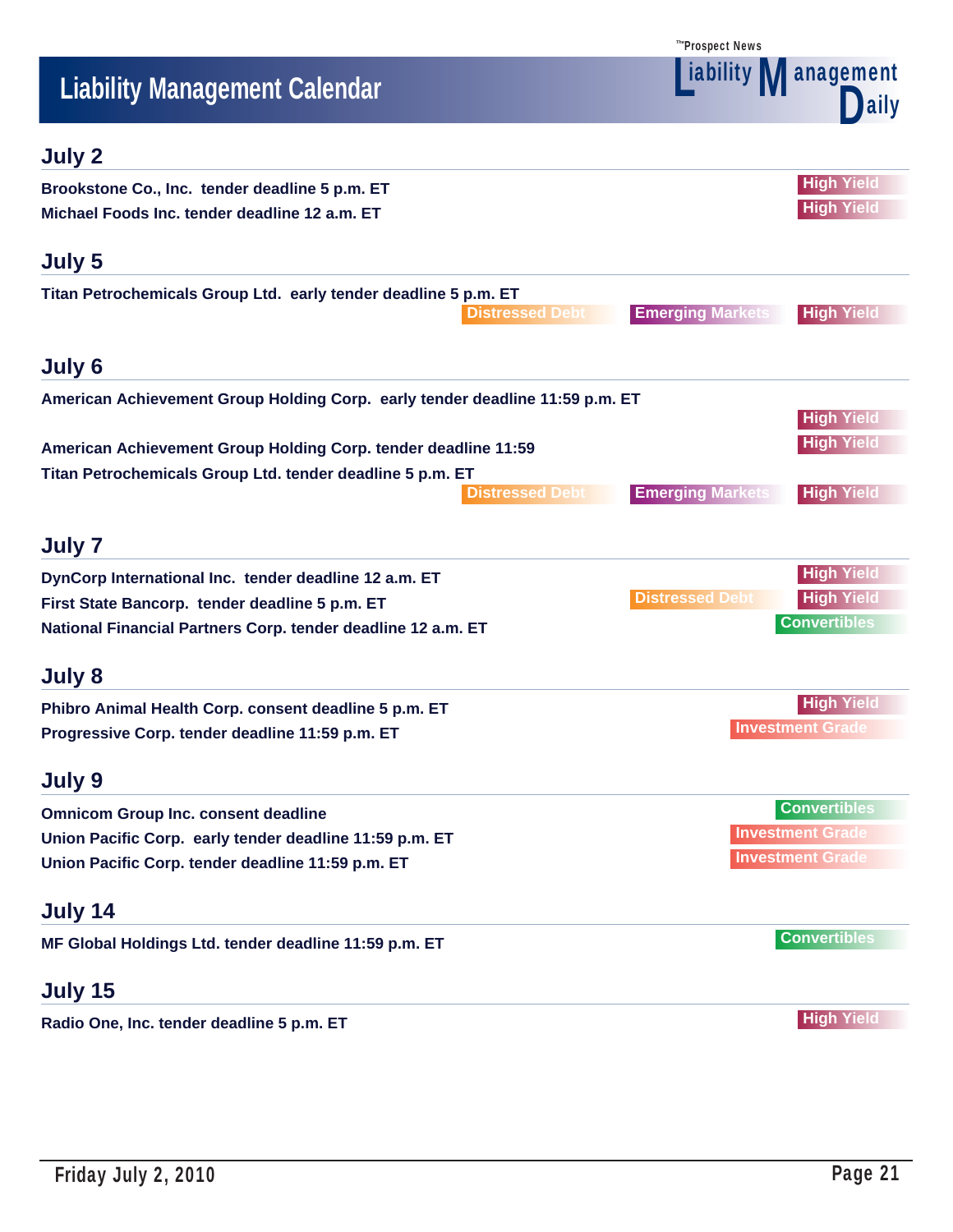| ™Prospect News |  |
|----------------|--|
|----------------|--|

# **Liability Management Calendar**<br> **Liability Management Calendar**<br> **Liability Management Calendar**



# **July 2**

| Brookstone Co., Inc. tender deadline 5 p.m. ET<br>Michael Foods Inc. tender deadline 12 a.m. ET                             | <b>High Yield</b><br><b>High Yield</b>       |  |
|-----------------------------------------------------------------------------------------------------------------------------|----------------------------------------------|--|
| July 5                                                                                                                      |                                              |  |
| Titan Petrochemicals Group Ltd. early tender deadline 5 p.m. ET<br><b>Distressed Debt</b>                                   | <b>Emerging Markets</b><br><b>High Yield</b> |  |
| July 6                                                                                                                      |                                              |  |
| American Achievement Group Holding Corp. early tender deadline 11:59 p.m. ET                                                | <b>High Yield</b>                            |  |
| American Achievement Group Holding Corp. tender deadline 11:59<br>Titan Petrochemicals Group Ltd. tender deadline 5 p.m. ET | <b>High Yield</b>                            |  |
| <b>Distressed Debt</b>                                                                                                      | <b>Emerging Markets</b><br><b>High Yield</b> |  |
| July 7                                                                                                                      |                                              |  |
| DynCorp International Inc. tender deadline 12 a.m. ET                                                                       | <b>High Yield</b>                            |  |
| First State Bancorp. tender deadline 5 p.m. ET                                                                              | <b>Distressed Debt</b><br><b>High Yield</b>  |  |
| National Financial Partners Corp. tender deadline 12 a.m. ET                                                                | <b>Convertibles</b>                          |  |
| July 8                                                                                                                      |                                              |  |
| Phibro Animal Health Corp. consent deadline 5 p.m. ET                                                                       | <b>High Yield</b>                            |  |
| Progressive Corp. tender deadline 11:59 p.m. ET                                                                             | <b>Investment Grade</b>                      |  |
| July 9                                                                                                                      |                                              |  |
| <b>Omnicom Group Inc. consent deadline</b>                                                                                  | <b>Convertibles</b>                          |  |
| Union Pacific Corp. early tender deadline 11:59 p.m. ET                                                                     | <b>Investment Grade</b>                      |  |
| Union Pacific Corp. tender deadline 11:59 p.m. ET                                                                           | <b>Investment Grade</b>                      |  |
| July 14                                                                                                                     |                                              |  |
| MF Global Holdings Ltd. tender deadline 11:59 p.m. ET                                                                       | <b>Convertibles</b>                          |  |
| July 15                                                                                                                     |                                              |  |
| Radio One, Inc. tender deadline 5 p.m. ET                                                                                   | <b>High Yield</b>                            |  |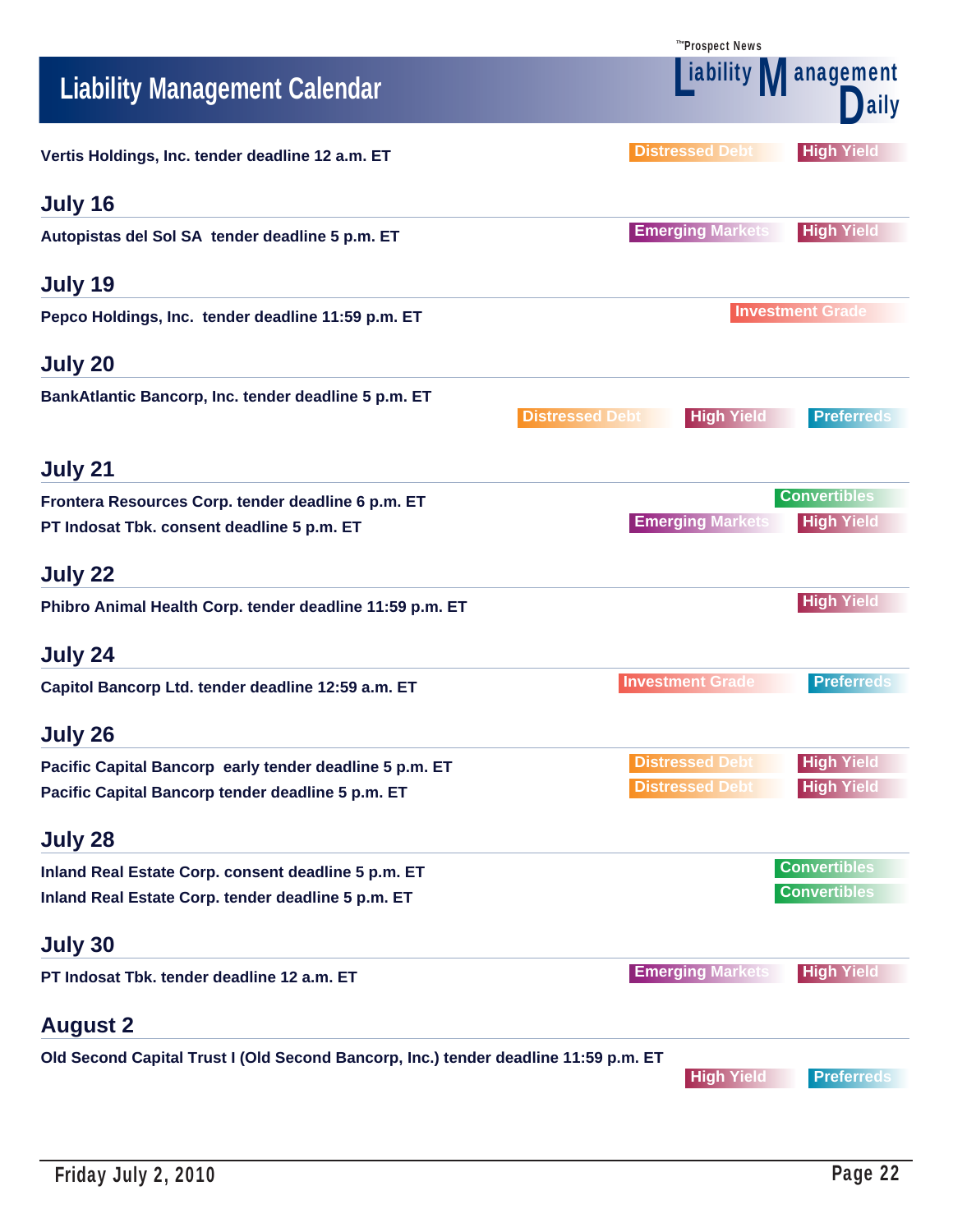|                                                                                                  | <b><i>The</i>Prospect News</b>                                      |
|--------------------------------------------------------------------------------------------------|---------------------------------------------------------------------|
| <b>Liability Management Calendar</b>                                                             | iability Management<br>laily                                        |
| Vertis Holdings, Inc. tender deadline 12 a.m. ET                                                 | <b>Distressed Debt</b><br><b>High Yield</b>                         |
| July 16                                                                                          |                                                                     |
| Autopistas del Sol SA tender deadline 5 p.m. ET                                                  | <b>Emerging Markets</b><br><b>High Yield</b>                        |
| July 19                                                                                          |                                                                     |
| Pepco Holdings, Inc. tender deadline 11:59 p.m. ET                                               | <b>Investment Grade</b>                                             |
| July 20                                                                                          |                                                                     |
| BankAtlantic Bancorp, Inc. tender deadline 5 p.m. ET                                             | <b>Distressed Debt</b><br><b>High Yield</b><br><b>Preferreds</b>    |
| July 21                                                                                          |                                                                     |
| Frontera Resources Corp. tender deadline 6 p.m. ET<br>PT Indosat Tbk. consent deadline 5 p.m. ET | <b>Convertibles</b><br><b>High Yield</b><br><b>Emerging Markets</b> |
| July 22                                                                                          |                                                                     |
| Phibro Animal Health Corp. tender deadline 11:59 p.m. ET                                         | <b>High Yield</b>                                                   |
| July 24                                                                                          |                                                                     |
| Capitol Bancorp Ltd. tender deadline 12:59 a.m. ET                                               | <b>Investment Grade</b><br><b>Preferreds</b>                        |
| July 26                                                                                          |                                                                     |
| Pacific Capital Bancorp early tender deadline 5 p.m. ET                                          | <b>High Yield</b><br><b>Distressed Debt</b>                         |
| Pacific Capital Bancorp tender deadline 5 p.m. ET                                                | <b>Distressed Debt</b><br><b>High Yield</b>                         |
| July 28                                                                                          |                                                                     |
| Inland Real Estate Corp. consent deadline 5 p.m. ET                                              | <b>Convertibles</b>                                                 |
| Inland Real Estate Corp. tender deadline 5 p.m. ET                                               | <b>Convertibles</b>                                                 |
| July 30                                                                                          |                                                                     |
| PT Indosat Tbk. tender deadline 12 a.m. ET                                                       | <b>Emerging Markets</b><br><b>High Yield</b>                        |
| <b>August 2</b>                                                                                  |                                                                     |
| Old Second Capital Trust I (Old Second Bancorp, Inc.) tender deadline 11:59 p.m. ET              | <b>Preferreds</b><br><b>High Yield</b>                              |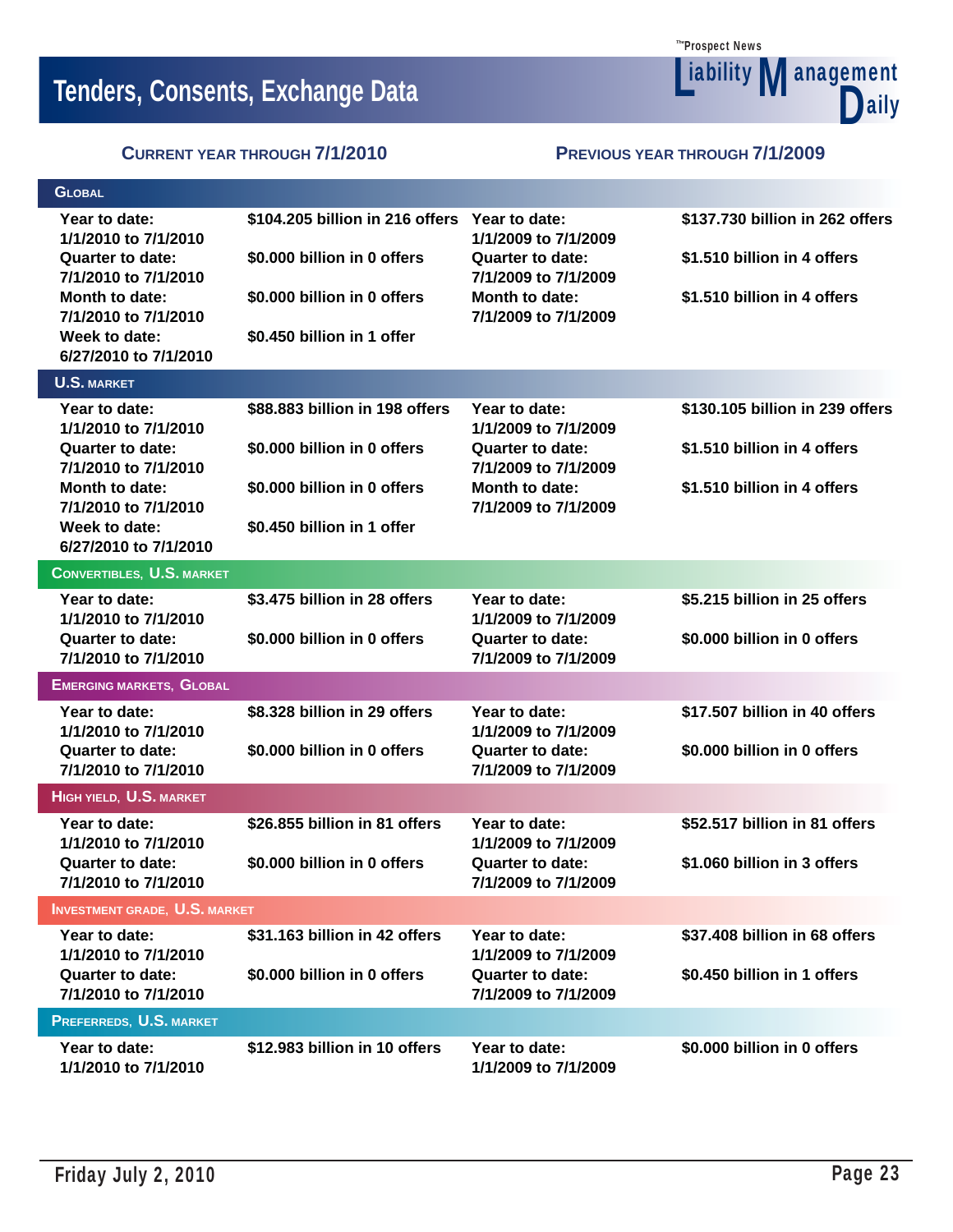**Tenders, Consents, Exchange Data**<br> **All Sources Consents, Exchange Data** 

Prospect News *The* **Liability Management** D

**CURRENT YEAR THROUGH 7/1/2010 PREVIOUS YEAR THROUGH 7/1/2009**

| <b>GLOBAL</b>                                                                            |                                                                              |                                                                         |                                                                |
|------------------------------------------------------------------------------------------|------------------------------------------------------------------------------|-------------------------------------------------------------------------|----------------------------------------------------------------|
| Year to date:<br>1/1/2010 to 7/1/2010<br><b>Quarter to date:</b><br>7/1/2010 to 7/1/2010 | \$104.205 billion in 216 offers Year to date:<br>\$0.000 billion in 0 offers | 1/1/2009 to 7/1/2009<br><b>Quarter to date:</b><br>7/1/2009 to 7/1/2009 | \$137.730 billion in 262 offers<br>\$1.510 billion in 4 offers |
| Month to date:<br>7/1/2010 to 7/1/2010<br>Week to date:<br>6/27/2010 to 7/1/2010         | \$0.000 billion in 0 offers<br>\$0.450 billion in 1 offer                    | Month to date:<br>7/1/2009 to 7/1/2009                                  | \$1.510 billion in 4 offers                                    |
| <b>U.S. MARKET</b>                                                                       |                                                                              |                                                                         |                                                                |
| Year to date:<br>1/1/2010 to 7/1/2010                                                    | \$88.883 billion in 198 offers                                               | Year to date:<br>1/1/2009 to 7/1/2009                                   | \$130.105 billion in 239 offers                                |
| <b>Quarter to date:</b><br>7/1/2010 to 7/1/2010                                          | \$0.000 billion in 0 offers                                                  | <b>Quarter to date:</b><br>7/1/2009 to 7/1/2009                         | \$1.510 billion in 4 offers                                    |
| Month to date:<br>7/1/2010 to 7/1/2010                                                   | \$0.000 billion in 0 offers                                                  | Month to date:<br>7/1/2009 to 7/1/2009                                  | \$1.510 billion in 4 offers                                    |
| Week to date:<br>6/27/2010 to 7/1/2010                                                   | \$0.450 billion in 1 offer                                                   |                                                                         |                                                                |
| <b>CONVERTIBLES, U.S. MARKET</b>                                                         |                                                                              |                                                                         |                                                                |
| Year to date:<br>1/1/2010 to 7/1/2010                                                    | \$3.475 billion in 28 offers                                                 | Year to date:<br>1/1/2009 to 7/1/2009                                   | \$5.215 billion in 25 offers                                   |
| <b>Quarter to date:</b><br>7/1/2010 to 7/1/2010                                          | \$0.000 billion in 0 offers                                                  | <b>Quarter to date:</b><br>7/1/2009 to 7/1/2009                         | \$0.000 billion in 0 offers                                    |
| <b>EMERGING MARKETS, GLOBAL</b>                                                          |                                                                              |                                                                         |                                                                |
| Year to date:<br>1/1/2010 to 7/1/2010                                                    | \$8.328 billion in 29 offers                                                 | Year to date:<br>1/1/2009 to 7/1/2009                                   | \$17.507 billion in 40 offers                                  |
| <b>Quarter to date:</b><br>7/1/2010 to 7/1/2010                                          | \$0.000 billion in 0 offers                                                  | <b>Quarter to date:</b><br>7/1/2009 to 7/1/2009                         | \$0.000 billion in 0 offers                                    |
| HIGH YIELD, U.S. MARKET                                                                  |                                                                              |                                                                         |                                                                |
| Year to date:<br>1/1/2010 to 7/1/2010                                                    | \$26.855 billion in 81 offers                                                | Year to date:<br>1/1/2009 to 7/1/2009                                   | \$52.517 billion in 81 offers                                  |
| <b>Quarter to date:</b><br>7/1/2010 to 7/1/2010                                          | \$0.000 billion in 0 offers                                                  | <b>Quarter to date:</b><br>7/1/2009 to 7/1/2009                         | \$1.060 billion in 3 offers                                    |
| <b>INVESTMENT GRADE, U.S. MARKET</b>                                                     |                                                                              |                                                                         |                                                                |
| Year to date:<br>1/1/2010 to 7/1/2010                                                    | \$31.163 billion in 42 offers                                                | Year to date:<br>1/1/2009 to 7/1/2009                                   | \$37.408 billion in 68 offers                                  |
| <b>Quarter to date:</b><br>7/1/2010 to 7/1/2010                                          | \$0.000 billion in 0 offers                                                  | <b>Quarter to date:</b><br>7/1/2009 to 7/1/2009                         | \$0.450 billion in 1 offers                                    |
| PREFERREDS, U.S. MARKET                                                                  |                                                                              |                                                                         |                                                                |
| Year to date:<br>1/1/2010 to 7/1/2010                                                    | \$12.983 billion in 10 offers                                                | Year to date:<br>1/1/2009 to 7/1/2009                                   | \$0.000 billion in 0 offers                                    |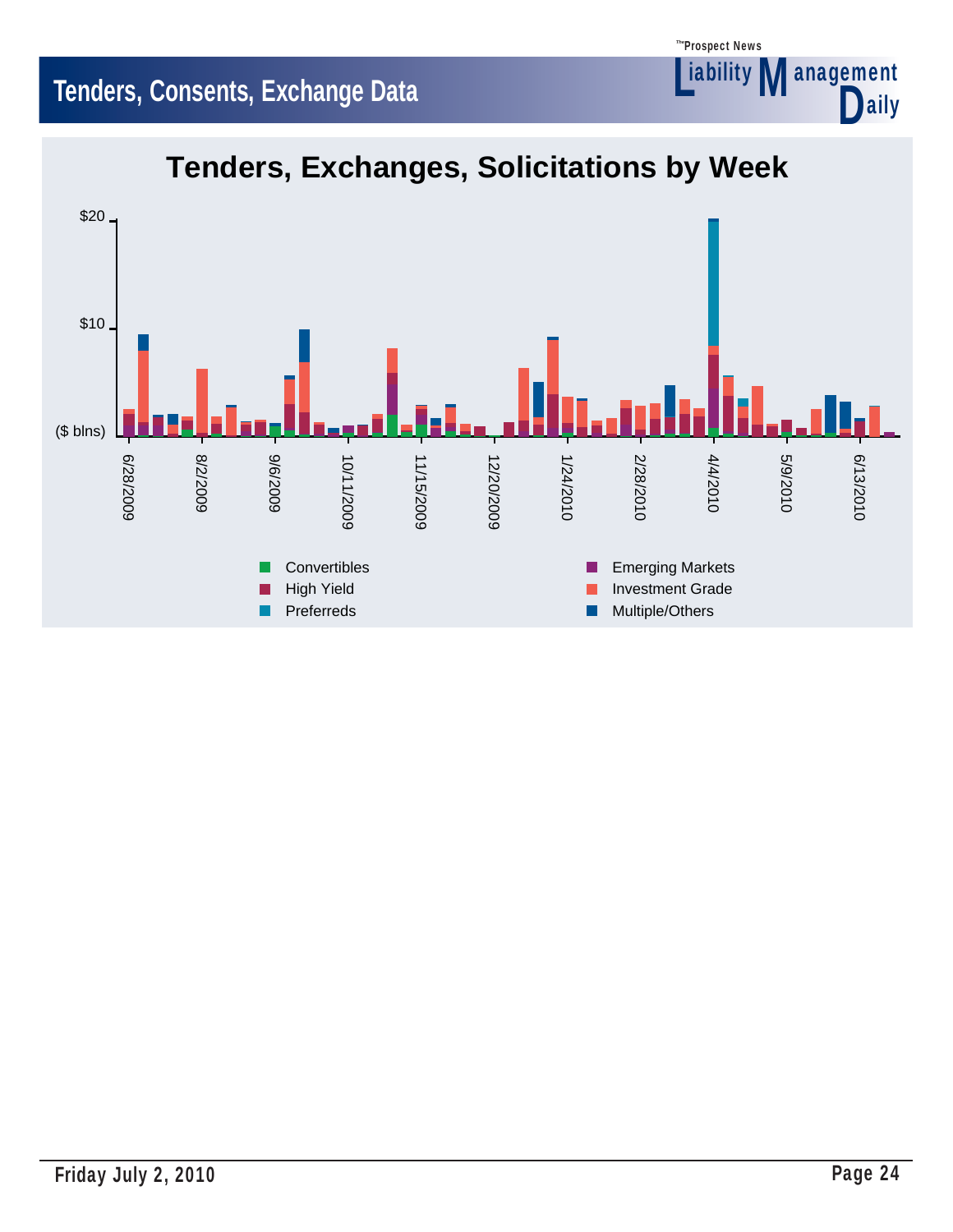# **Tenders, Consents, Exchange Data**



Prospect News *The*